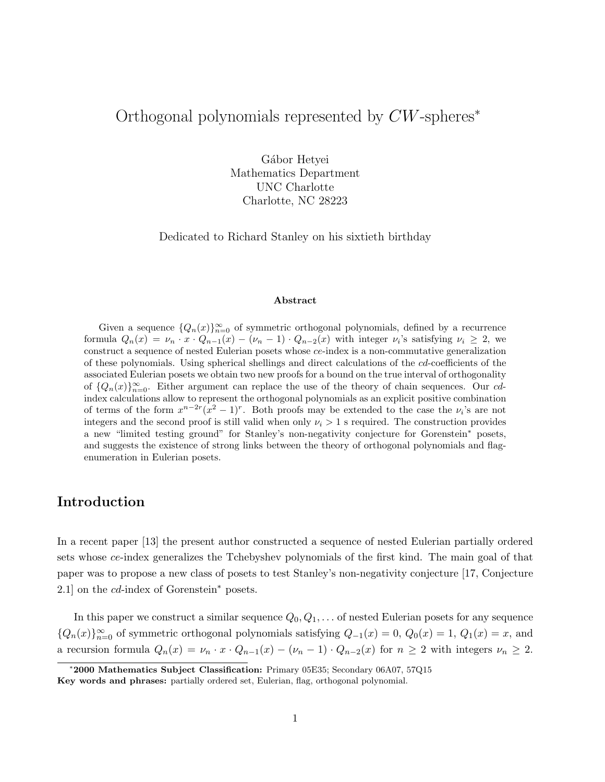# Orthogonal polynomials represented by CW-spheres<sup>∗</sup>

Gábor Hetyei Mathematics Department UNC Charlotte Charlotte, NC 28223

Dedicated to Richard Stanley on his sixtieth birthday

#### Abstract

Given a sequence  $\{Q_n(x)\}_{n=0}^{\infty}$  of symmetric orthogonal polynomials, defined by a recurrence formula  $Q_n(x) = \nu_n \cdot x \cdot Q_{n-1}(x) - (\nu_n - 1) \cdot Q_{n-2}(x)$  with integer  $\nu_i$ 's satisfying  $\nu_i \geq 2$ , we construct a sequence of nested Eulerian posets whose ce-index is a non-commutative generalization of these polynomials. Using spherical shellings and direct calculations of the cd-coefficients of the associated Eulerian posets we obtain two new proofs for a bound on the true interval of orthogonality of  $\{Q_n(x)\}_{n=0}^{\infty}$ . Either argument can replace the use of the theory of chain sequences. Our cdindex calculations allow to represent the orthogonal polynomials as an explicit positive combination of terms of the form  $x^{n-2r}(x^2-1)^r$ . Both proofs may be extended to the case the  $\nu_i$ 's are not integers and the second proof is still valid when only  $\nu_i > 1$  s required. The construction provides a new "limited testing ground" for Stanley's non-negativity conjecture for Gorenstein<sup>∗</sup> posets, and suggests the existence of strong links between the theory of orthogonal polynomials and flagenumeration in Eulerian posets.

## Introduction

In a recent paper [13] the present author constructed a sequence of nested Eulerian partially ordered sets whose ce-index generalizes the Tchebyshev polynomials of the first kind. The main goal of that paper was to propose a new class of posets to test Stanley's non-negativity conjecture [17, Conjecture 2.1] on the *cd*-index of Gorenstein<sup>∗</sup> posets.

In this paper we construct a similar sequence  $Q_0, Q_1, \ldots$  of nested Eulerian posets for any sequence  ${Q_n(x)}_{n=0}^{\infty}$  of symmetric orthogonal polynomials satisfying  $Q_{-1}(x) = 0$ ,  $Q_0(x) = 1$ ,  $Q_1(x) = x$ , and a recursion formula  $Q_n(x) = \nu_n \cdot x \cdot Q_{n-1}(x) - (\nu_n - 1) \cdot Q_{n-2}(x)$  for  $n \ge 2$  with integers  $\nu_n \ge 2$ .

<sup>∗</sup>2000 Mathematics Subject Classification: Primary 05E35; Secondary 06A07, 57Q15

Key words and phrases: partially ordered set, Eulerian, flag, orthogonal polynomial.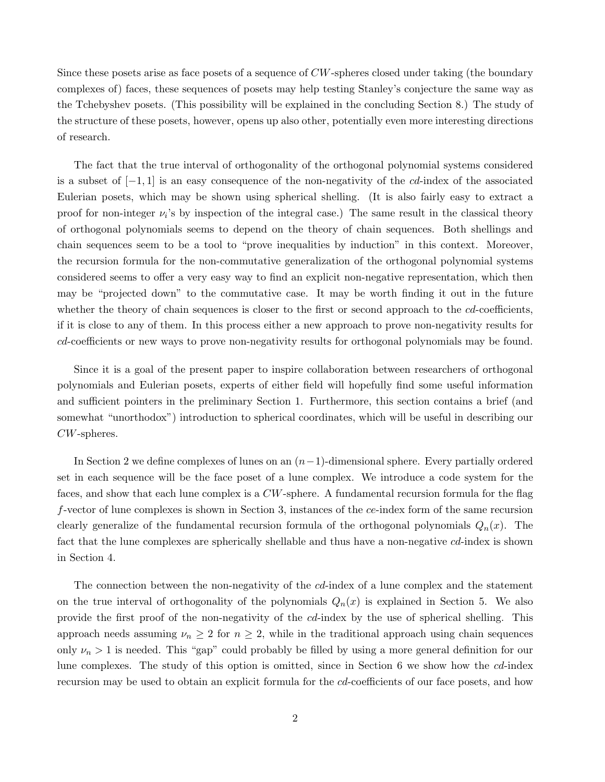Since these posets arise as face posets of a sequence of CW-spheres closed under taking (the boundary complexes of) faces, these sequences of posets may help testing Stanley's conjecture the same way as the Tchebyshev posets. (This possibility will be explained in the concluding Section 8.) The study of the structure of these posets, however, opens up also other, potentially even more interesting directions of research.

The fact that the true interval of orthogonality of the orthogonal polynomial systems considered is a subset of  $[-1, 1]$  is an easy consequence of the non-negativity of the cd-index of the associated Eulerian posets, which may be shown using spherical shelling. (It is also fairly easy to extract a proof for non-integer  $\nu_i$ 's by inspection of the integral case.) The same result in the classical theory of orthogonal polynomials seems to depend on the theory of chain sequences. Both shellings and chain sequences seem to be a tool to "prove inequalities by induction" in this context. Moreover, the recursion formula for the non-commutative generalization of the orthogonal polynomial systems considered seems to offer a very easy way to find an explicit non-negative representation, which then may be "projected down" to the commutative case. It may be worth finding it out in the future whether the theory of chain sequences is closer to the first or second approach to the cd-coefficients, if it is close to any of them. In this process either a new approach to prove non-negativity results for cd-coefficients or new ways to prove non-negativity results for orthogonal polynomials may be found.

Since it is a goal of the present paper to inspire collaboration between researchers of orthogonal polynomials and Eulerian posets, experts of either field will hopefully find some useful information and sufficient pointers in the preliminary Section 1. Furthermore, this section contains a brief (and somewhat "unorthodox") introduction to spherical coordinates, which will be useful in describing our CW-spheres.

In Section 2 we define complexes of lunes on an  $(n-1)$ -dimensional sphere. Every partially ordered set in each sequence will be the face poset of a lune complex. We introduce a code system for the faces, and show that each lune complex is a CW-sphere. A fundamental recursion formula for the flag f-vector of lune complexes is shown in Section 3, instances of the ce-index form of the same recursion clearly generalize of the fundamental recursion formula of the orthogonal polynomials  $Q_n(x)$ . The fact that the lune complexes are spherically shellable and thus have a non-negative cd-index is shown in Section 4.

The connection between the non-negativity of the *cd*-index of a lune complex and the statement on the true interval of orthogonality of the polynomials  $Q_n(x)$  is explained in Section 5. We also provide the first proof of the non-negativity of the cd-index by the use of spherical shelling. This approach needs assuming  $\nu_n \geq 2$  for  $n \geq 2$ , while in the traditional approach using chain sequences only  $\nu_n > 1$  is needed. This "gap" could probably be filled by using a more general definition for our lune complexes. The study of this option is omitted, since in Section 6 we show how the cd-index recursion may be used to obtain an explicit formula for the cd-coefficients of our face posets, and how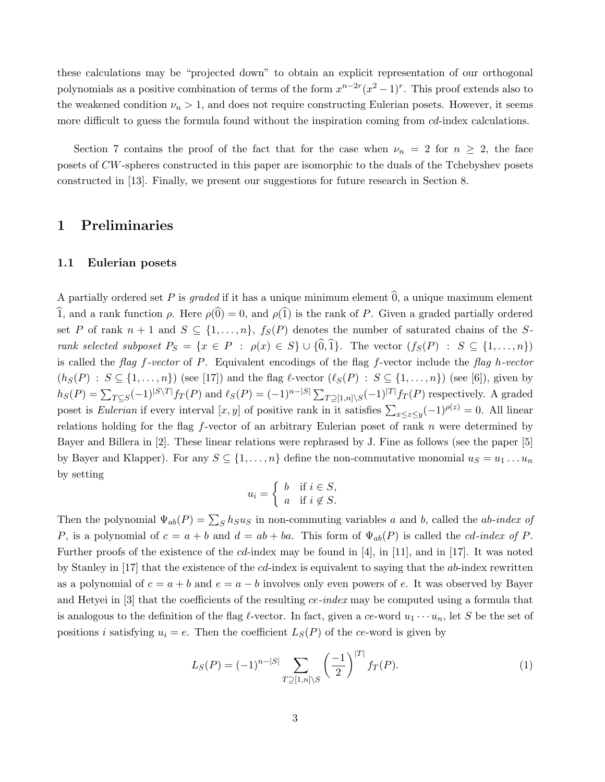these calculations may be "projected down" to obtain an explicit representation of our orthogonal polynomials as a positive combination of terms of the form  $x^{n-2r}(x^2-1)^r$ . This proof extends also to the weakened condition  $\nu_n > 1$ , and does not require constructing Eulerian posets. However, it seems more difficult to guess the formula found without the inspiration coming from *cd*-index calculations.

Section 7 contains the proof of the fact that for the case when  $\nu_n = 2$  for  $n \geq 2$ , the face posets of CW-spheres constructed in this paper are isomorphic to the duals of the Tchebyshev posets constructed in [13]. Finally, we present our suggestions for future research in Section 8.

### 1 Preliminaries

### 1.1 Eulerian posets

A partially ordered set P is graded if it has a unique minimum element  $\hat{0}$ , a unique maximum element 1, and a rank function  $\rho$ . Here  $\rho(\hat{0}) = 0$ , and  $\rho(1)$  is the rank of P. Given a graded partially ordered set P of rank  $n + 1$  and  $S \subseteq \{1, ..., n\}$ ,  $f_S(P)$  denotes the number of saturated chains of the Srank selected subposet  $P_S = \{x \in P : \rho(x) \in S\} \cup \{\hat{0},\hat{1}\}.$  The vector  $(f_S(P) : S \subseteq \{1,\ldots,n\})$ is called the flag f-vector of P. Equivalent encodings of the flag f-vector include the flag h-vector  $(h_S(P) : S \subseteq \{1, \ldots, n\})$  (see [17]) and the flag  $\ell$ -vector  $(\ell_S(P) : S \subseteq \{1, \ldots, n\})$  (see [6]), given by  $h_S(P) = \sum_{T \subseteq S} (-1)^{|S \setminus T|} f_T(P)$  and  $\ell_S(P) = (-1)^{n-|S|} \sum_{T \supseteq [1,n] \setminus S} (-1)^{|T|} f_T(P)$  respectively. A graded poset is *Eulerian* if every interval [x, y] of positive rank in it satisfies  $\sum_{x \le z \le y} (-1)^{\rho(z)} = 0$ . All linear relations holding for the flag  $f$ -vector of an arbitrary Eulerian poset of rank  $n$  were determined by Bayer and Billera in [2]. These linear relations were rephrased by J. Fine as follows (see the paper [5] by Bayer and Klapper). For any  $S \subseteq \{1, \ldots, n\}$  define the non-commutative monomial  $u_S = u_1 \ldots u_n$ by setting

$$
u_i = \begin{cases} b & \text{if } i \in S, \\ a & \text{if } i \notin S. \end{cases}
$$

Then the polynomial  $\Psi_{ab}(P) = \sum_{S} h_S u_S$  in non-commuting variables a and b, called the ab-index of P, is a polynomial of  $c = a + b$  and  $d = ab + ba$ . This form of  $\Psi_{ab}(P)$  is called the *cd-index of* P. Further proofs of the existence of the cd-index may be found in [4], in [11], and in [17]. It was noted by Stanley in [17] that the existence of the cd-index is equivalent to saying that the ab-index rewritten as a polynomial of  $c = a + b$  and  $e = a - b$  involves only even powers of e. It was observed by Bayer and Hetyei in [3] that the coefficients of the resulting ce-index may be computed using a formula that is analogous to the definition of the flag  $\ell$ -vector. In fact, given a ce-word  $u_1 \cdots u_n$ , let S be the set of positions i satisfying  $u_i = e$ . Then the coefficient  $L_S(P)$  of the ce-word is given by

$$
L_S(P) = (-1)^{n-|S|} \sum_{T \supseteq [1,n] \setminus S} \left(\frac{-1}{2}\right)^{|T|} f_T(P). \tag{1}
$$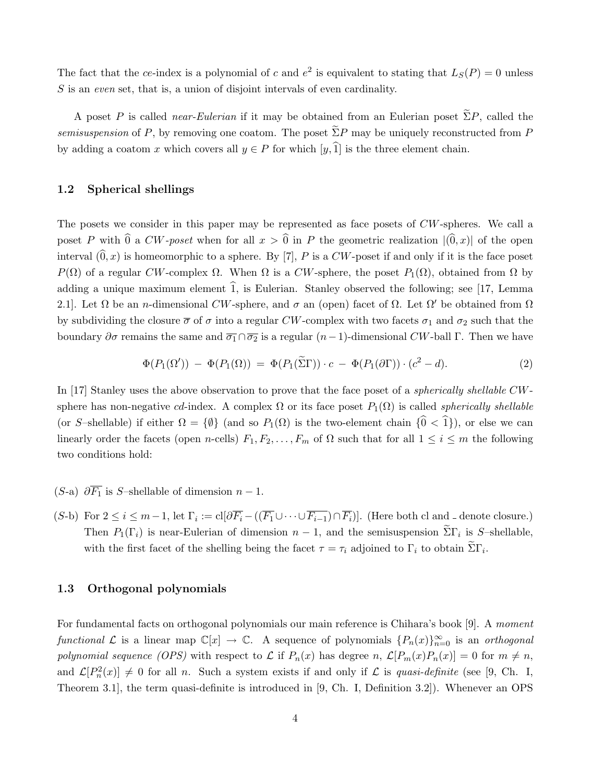The fact that the ce-index is a polynomial of c and  $e^2$  is equivalent to stating that  $L_S(P) = 0$  unless S is an even set, that is, a union of disjoint intervals of even cardinality.

A poset P is called *near-Eulerian* if it may be obtained from an Eulerian poset  $\tilde{\Sigma}P$ , called the semisuspension of P, by removing one coatom. The poset  $\tilde{\Sigma}P$  may be uniquely reconstructed from P by adding a coatom x which covers all  $y \in P$  for which  $[y,\hat{1}]$  is the three element chain.

### 1.2 Spherical shellings

The posets we consider in this paper may be represented as face posets of  $CW$ -spheres. We call a poset P with  $\hat{0}$  a CW-poset when for all  $x > \hat{0}$  in P the geometric realization  $|(\hat{0}, x)|$  of the open interval  $(0, x)$  is homeomorphic to a sphere. By [7], P is a CW-poset if and only if it is the face poset P(Ω) of a regular CW-complex Ω. When  $\Omega$  is a CW-sphere, the poset  $P_1(\Omega)$ , obtained from  $\Omega$  by adding a unique maximum element  $\hat{1}$ , is Eulerian. Stanley observed the following; see [17, Lemma 2.1]. Let  $\Omega$  be an *n*-dimensional CW-sphere, and  $\sigma$  an (open) facet of  $\Omega$ . Let  $\Omega'$  be obtained from  $\Omega$ by subdividing the closure  $\bar{\sigma}$  of  $\sigma$  into a regular CW-complex with two facets  $\sigma_1$  and  $\sigma_2$  such that the boundary  $\partial \sigma$  remains the same and  $\overline{\sigma_1} \cap \overline{\sigma_2}$  is a regular  $(n-1)$ -dimensional CW-ball Γ. Then we have

$$
\Phi(P_1(\Omega')) - \Phi(P_1(\Omega)) = \Phi(P_1(\widetilde{\Sigma}\Gamma)) \cdot c - \Phi(P_1(\partial\Gamma)) \cdot (c^2 - d). \tag{2}
$$

In [17] Stanley uses the above observation to prove that the face poset of a *spherically shellable CW*sphere has non-negative cd-index. A complex  $\Omega$  or its face poset  $P_1(\Omega)$  is called *spherically shellable* (or S–shellable) if either  $\Omega = {\emptyset}$  (and so  $P_1(\Omega)$  is the two-element chain  $\{0 < 1\}$ ), or else we can linearly order the facets (open n-cells)  $F_1, F_2, \ldots, F_m$  of  $\Omega$  such that for all  $1 \leq i \leq m$  the following two conditions hold:

- (S-a)  $\partial \overline{F_1}$  is S–shellable of dimension  $n-1$ .
- $(S$ -b) For  $2 \le i \le m-1$ , let  $\Gamma_i := \text{cl}[\partial \overline{F_i} ((\overline{F_1} \cup \cdots \cup \overline{F_{i-1}}) \cap \overline{F_i})]$ . (Here both cl and denote closure.) Then  $P_1(\Gamma_i)$  is near-Eulerian of dimension  $n-1$ , and the semisuspension  $\Sigma \Gamma_i$  is S-shellable, with the first facet of the shelling being the facet  $\tau = \tau_i$  adjoined to  $\Gamma_i$  to obtain  $\Sigma \Gamma_i$ .

#### 1.3 Orthogonal polynomials

For fundamental facts on orthogonal polynomials our main reference is Chihara's book [9]. A moment functional  $\mathcal L$  is a linear map  $\mathbb C[x] \to \mathbb C$ . A sequence of polynomials  $\{P_n(x)\}_{n=0}^\infty$  is an orthogonal polynomial sequence (OPS) with respect to L if  $P_n(x)$  has degree n,  $\mathcal{L}[P_m(x)P_n(x)] = 0$  for  $m \neq n$ , and  $\mathcal{L}[P_n^2(x)] \neq 0$  for all n. Such a system exists if and only if  $\mathcal{L}$  is quasi-definite (see [9, Ch. I, Theorem 3.1], the term quasi-definite is introduced in [9, Ch. I, Definition 3.2]). Whenever an OPS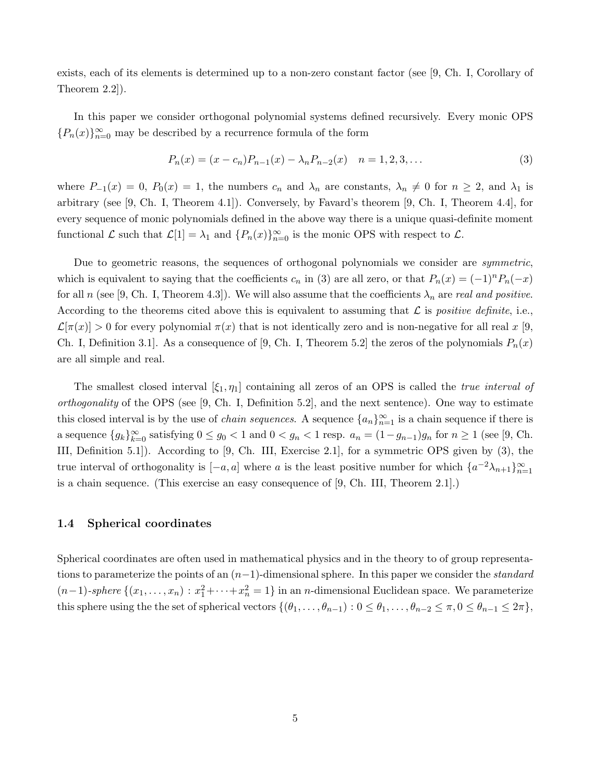exists, each of its elements is determined up to a non-zero constant factor (see [9, Ch. I, Corollary of Theorem 2.2]).

In this paper we consider orthogonal polynomial systems defined recursively. Every monic OPS  ${P_n(x)}_{n=0}^\infty$  may be described by a recurrence formula of the form

$$
P_n(x) = (x - c_n)P_{n-1}(x) - \lambda_n P_{n-2}(x) \quad n = 1, 2, 3, \dots
$$
\n(3)

where  $P_{-1}(x) = 0$ ,  $P_0(x) = 1$ , the numbers  $c_n$  and  $\lambda_n$  are constants,  $\lambda_n \neq 0$  for  $n \geq 2$ , and  $\lambda_1$  is arbitrary (see  $[9, Ch. I, Theorem 4.1]$ ). Conversely, by Favard's theorem  $[9, Ch. I, Theorem 4.4]$ , for every sequence of monic polynomials defined in the above way there is a unique quasi-definite moment functional  $\mathcal L$  such that  $\mathcal L[1] = \lambda_1$  and  $\{P_n(x)\}_{n=0}^{\infty}$  is the monic OPS with respect to  $\mathcal L$ .

Due to geometric reasons, the sequences of orthogonal polynomials we consider are *symmetric*, which is equivalent to saying that the coefficients  $c_n$  in (3) are all zero, or that  $P_n(x) = (-1)^n P_n(-x)$ for all n (see [9, Ch. I, Theorem 4.3]). We will also assume that the coefficients  $\lambda_n$  are real and positive. According to the theorems cited above this is equivalent to assuming that  $\mathcal L$  is positive definite, i.e.,  $\mathcal{L}[\pi(x)] > 0$  for every polynomial  $\pi(x)$  that is not identically zero and is non-negative for all real x [9, Ch. I, Definition 3.1. As a consequence of [9, Ch. I, Theorem 5.2] the zeros of the polynomials  $P_n(x)$ are all simple and real.

The smallest closed interval  $[\xi_1, \eta_1]$  containing all zeros of an OPS is called the *true interval of orthogonality* of the OPS (see [9, Ch. I, Definition 5.2], and the next sentence). One way to estimate this closed interval is by the use of *chain sequences*. A sequence  $\{a_n\}_{n=1}^{\infty}$  is a chain sequence if there is a sequence  ${g_k}_{k=0}^{\infty}$  satisfying  $0 \le g_0 < 1$  and  $0 < g_n < 1$  resp.  $a_n = (1 - g_{n-1})g_n$  for  $n \ge 1$  (see [9, Ch.) III, Definition 5.1]). According to [9, Ch. III, Exercise 2.1], for a symmetric OPS given by (3), the true interval of orthogonality is  $[-a, a]$  where a is the least positive number for which  $\{a^{-2}\lambda_{n+1}\}_{n=1}^{\infty}$ is a chain sequence. (This exercise an easy consequence of [9, Ch. III, Theorem 2.1].)

#### 1.4 Spherical coordinates

Spherical coordinates are often used in mathematical physics and in the theory to of group representations to parameterize the points of an  $(n-1)$ -dimensional sphere. In this paper we consider the *standard*  $(n-1)$ -sphere  $\{(x_1,\ldots,x_n): x_1^2+\cdots+x_n^2=1\}$  in an n-dimensional Euclidean space. We parameterize this sphere using the the set of spherical vectors  $\{(\theta_1,\ldots,\theta_{n-1}): 0 \leq \theta_1,\ldots,\theta_{n-2} \leq \pi, 0 \leq \theta_{n-1} \leq 2\pi\}$ ,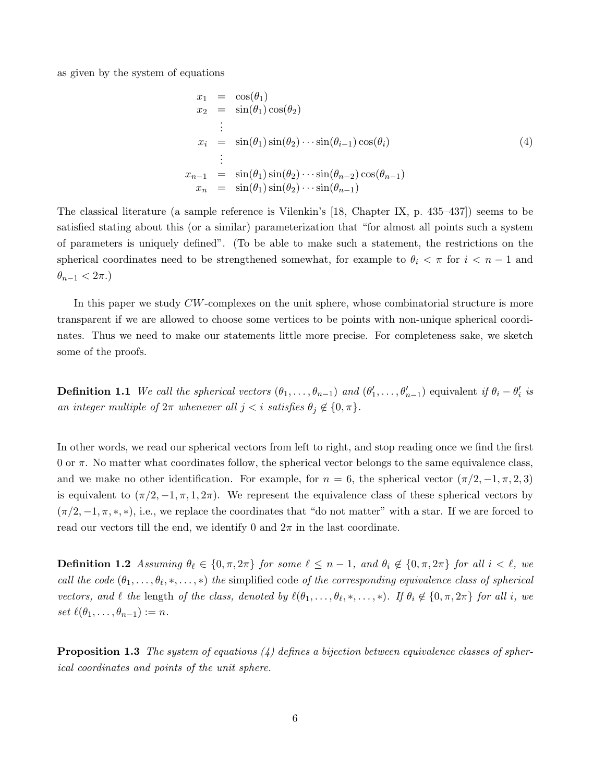as given by the system of equations

$$
x_1 = \cos(\theta_1)
$$
  
\n
$$
x_2 = \sin(\theta_1)\cos(\theta_2)
$$
  
\n
$$
\vdots
$$
  
\n
$$
x_i = \sin(\theta_1)\sin(\theta_2)\cdots\sin(\theta_{i-1})\cos(\theta_i)
$$
  
\n
$$
\vdots
$$
  
\n
$$
x_{n-1} = \sin(\theta_1)\sin(\theta_2)\cdots\sin(\theta_{n-2})\cos(\theta_{n-1})
$$
  
\n
$$
x_n = \sin(\theta_1)\sin(\theta_2)\cdots\sin(\theta_{n-1})
$$
  
\n(4)

The classical literature (a sample reference is Vilenkin's [18, Chapter IX, p. 435–437]) seems to be satisfied stating about this (or a similar) parameterization that "for almost all points such a system of parameters is uniquely defined". (To be able to make such a statement, the restrictions on the spherical coordinates need to be strengthened somewhat, for example to  $\theta_i < \pi$  for  $i < n - 1$  and  $\theta_{n-1}$  <  $2\pi$ .)

In this paper we study  $CW$ -complexes on the unit sphere, whose combinatorial structure is more transparent if we are allowed to choose some vertices to be points with non-unique spherical coordinates. Thus we need to make our statements little more precise. For completeness sake, we sketch some of the proofs.

**Definition 1.1** We call the spherical vectors  $(\theta_1, \ldots, \theta_{n-1})$  and  $(\theta'_1, \ldots, \theta'_{n-1})$  equivalent if  $\theta_i - \theta'_i$  is an integer multiple of  $2\pi$  whenever all  $j < i$  satisfies  $\theta_j \notin \{0, \pi\}.$ 

In other words, we read our spherical vectors from left to right, and stop reading once we find the first 0 or  $\pi$ . No matter what coordinates follow, the spherical vector belongs to the same equivalence class. and we make no other identification. For example, for  $n = 6$ , the spherical vector  $(\pi/2, -1, \pi, 2, 3)$ is equivalent to  $(\pi/2, -1, \pi, 1, 2\pi)$ . We represent the equivalence class of these spherical vectors by  $(\pi/2, -1, \pi, \ast, \ast)$ , i.e., we replace the coordinates that "do not matter" with a star. If we are forced to read our vectors till the end, we identify 0 and  $2\pi$  in the last coordinate.

**Definition 1.2** Assuming  $\theta_\ell \in \{0, \pi, 2\pi\}$  for some  $\ell \leq n-1$ , and  $\theta_i \notin \{0, \pi, 2\pi\}$  for all  $i < \ell$ , we call the code  $(\theta_1,\ldots,\theta_\ell,*,\ldots,*)$  the simplified code of the corresponding equivalence class of spherical vectors, and  $\ell$  the length of the class, denoted by  $\ell(\theta_1,\ldots,\theta_\ell,\ast,\ldots,\ast)$ . If  $\theta_i \notin \{0,\pi,2\pi\}$  for all i, we set  $\ell(\theta_1, \ldots, \theta_{n-1}) := n$ .

**Proposition 1.3** The system of equations  $(4)$  defines a bijection between equivalence classes of spherical coordinates and points of the unit sphere.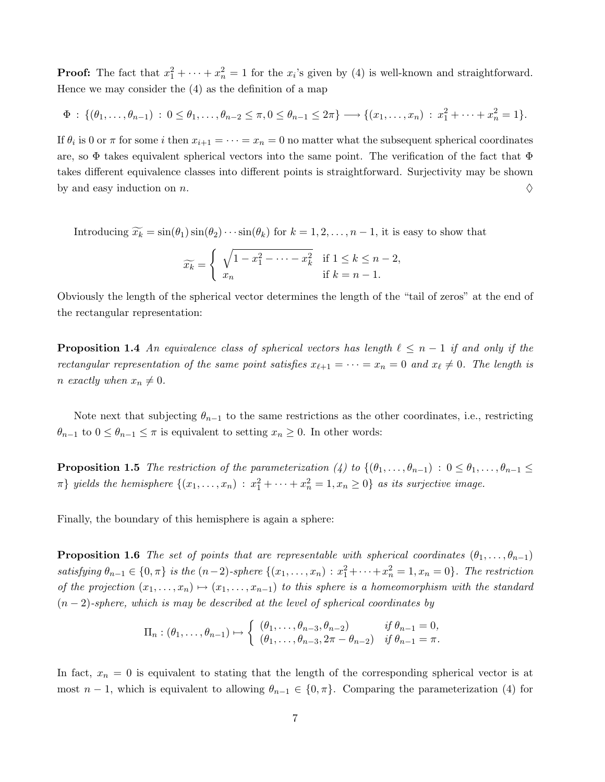**Proof:** The fact that  $x_1^2 + \cdots + x_n^2 = 1$  for the  $x_i$ 's given by (4) is well-known and straightforward. Hence we may consider the (4) as the definition of a map

$$
\Phi : \{(\theta_1,\ldots,\theta_{n-1}) : 0 \leq \theta_1,\ldots,\theta_{n-2} \leq \pi, 0 \leq \theta_{n-1} \leq 2\pi\} \longrightarrow \{(x_1,\ldots,x_n) : x_1^2 + \cdots + x_n^2 = 1\}.
$$

If  $\theta_i$  is 0 or  $\pi$  for some i then  $x_{i+1} = \cdots = x_n = 0$  no matter what the subsequent spherical coordinates are, so  $\Phi$  takes equivalent spherical vectors into the same point. The verification of the fact that  $\Phi$ takes different equivalence classes into different points is straightforward. Surjectivity may be shown by and easy induction on n.  $\Diamond$ 

Introducing  $\widetilde{x_k} = \sin(\theta_1)\sin(\theta_2)\cdots\sin(\theta_k)$  for  $k = 1, 2, \ldots, n-1$ , it is easy to show that

$$
\widetilde{x_k} = \begin{cases} \sqrt{1 - x_1^2 - \dots - x_k^2} & \text{if } 1 \le k \le n - 2, \\ x_n & \text{if } k = n - 1. \end{cases}
$$

Obviously the length of the spherical vector determines the length of the "tail of zeros" at the end of the rectangular representation:

**Proposition 1.4** An equivalence class of spherical vectors has length  $\ell \leq n - 1$  if and only if the rectangular representation of the same point satisfies  $x_{\ell+1} = \cdots = x_n = 0$  and  $x_{\ell} \neq 0$ . The length is n exactly when  $x_n \neq 0$ .

Note next that subjecting  $\theta_{n-1}$  to the same restrictions as the other coordinates, i.e., restricting  $\theta_{n-1}$  to  $0 \leq \theta_{n-1} \leq \pi$  is equivalent to setting  $x_n \geq 0$ . In other words:

**Proposition 1.5** The restriction of the parameterization (4) to  $\{(\theta_1, \ldots, \theta_{n-1}) : 0 \leq \theta_1, \ldots, \theta_{n-1} \leq \theta_n\}$  $\pi$ } yields the hemisphere  $\{(x_1, \ldots, x_n) : x_1^2 + \cdots + x_n^2 = 1, x_n \ge 0\}$  as its surjective image.

Finally, the boundary of this hemisphere is again a sphere:

**Proposition 1.6** The set of points that are representable with spherical coordinates  $(\theta_1, \ldots, \theta_{n-1})$ satisfying  $\theta_{n-1} \in \{0, \pi\}$  is the  $(n-2)$ -sphere  $\{(x_1, \ldots, x_n) : x_1^2 + \cdots + x_n^2 = 1, x_n = 0\}$ . The restriction of the projection  $(x_1, \ldots, x_n) \mapsto (x_1, \ldots, x_{n-1})$  to this sphere is a homeomorphism with the standard  $(n-2)$ -sphere, which is may be described at the level of spherical coordinates by

$$
\Pi_n : (\theta_1, \dots, \theta_{n-1}) \mapsto \begin{cases} (\theta_1, \dots, \theta_{n-3}, \theta_{n-2}) & \text{if } \theta_{n-1} = 0, \\ (\theta_1, \dots, \theta_{n-3}, 2\pi - \theta_{n-2}) & \text{if } \theta_{n-1} = \pi. \end{cases}
$$

In fact,  $x_n = 0$  is equivalent to stating that the length of the corresponding spherical vector is at most  $n-1$ , which is equivalent to allowing  $\theta_{n-1} \in \{0, \pi\}$ . Comparing the parameterization (4) for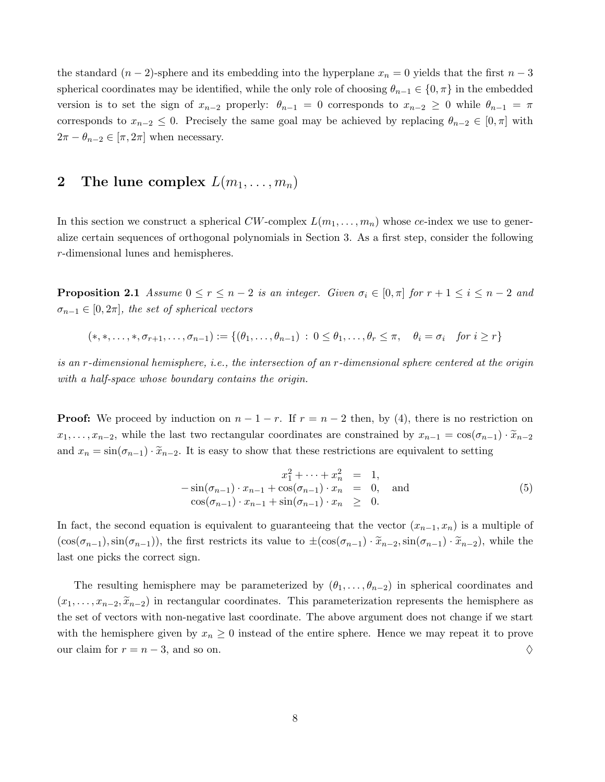the standard  $(n-2)$ -sphere and its embedding into the hyperplane  $x_n = 0$  yields that the first  $n-3$ spherical coordinates may be identified, while the only role of choosing  $\theta_{n-1} \in \{0, \pi\}$  in the embedded version is to set the sign of  $x_{n-2}$  properly:  $\theta_{n-1} = 0$  corresponds to  $x_{n-2} \geq 0$  while  $\theta_{n-1} = \pi$ corresponds to  $x_{n-2} \leq 0$ . Precisely the same goal may be achieved by replacing  $\theta_{n-2} \in [0, \pi]$  with  $2\pi - \theta_{n-2} \in [\pi, 2\pi]$  when necessary.

# 2 The lune complex  $L(m_1, \ldots, m_n)$

In this section we construct a spherical  $CW$ -complex  $L(m_1, \ldots, m_n)$  whose ce-index we use to generalize certain sequences of orthogonal polynomials in Section 3. As a first step, consider the following r-dimensional lunes and hemispheres.

**Proposition 2.1** Assume  $0 \le r \le n-2$  is an integer. Given  $\sigma_i \in [0, \pi]$  for  $r+1 \le i \le n-2$  and  $\sigma_{n-1} \in [0, 2\pi]$ , the set of spherical vectors

$$
(*,*,\ldots,*,\sigma_{r+1},\ldots,\sigma_{n-1}):=\{(\theta_1,\ldots,\theta_{n-1})\,:\,0\leq\theta_1,\ldots,\theta_r\leq\pi,\quad\theta_i=\sigma_i\quad\text{for }i\geq r\}
$$

is an r-dimensional hemisphere, i.e., the intersection of an r-dimensional sphere centered at the origin with a half-space whose boundary contains the origin.

**Proof:** We proceed by induction on  $n-1-r$ . If  $r = n-2$  then, by (4), there is no restriction on  $x_1, \ldots, x_{n-2}$ , while the last two rectangular coordinates are constrained by  $x_{n-1} = \cos(\sigma_{n-1}) \cdot \tilde{x}_{n-2}$ and  $x_n = \sin(\sigma_{n-1}) \cdot \tilde{x}_{n-2}$ . It is easy to show that these restrictions are equivalent to setting

$$
x_1^2 + \dots + x_n^2 = 1,
$$
  
\n
$$
-\sin(\sigma_{n-1}) \cdot x_{n-1} + \cos(\sigma_{n-1}) \cdot x_n = 0, \text{ and}
$$
  
\n
$$
\cos(\sigma_{n-1}) \cdot x_{n-1} + \sin(\sigma_{n-1}) \cdot x_n \ge 0.
$$
\n(5)

In fact, the second equation is equivalent to guaranteeing that the vector  $(x_{n-1}, x_n)$  is a multiple of  $(\cos(\sigma_{n-1}),\sin(\sigma_{n-1}))$ , the first restricts its value to  $\pm(\cos(\sigma_{n-1}) \cdot \tilde{x}_{n-2},\sin(\sigma_{n-1}) \cdot \tilde{x}_{n-2})$ , while the last one picks the correct sign.

The resulting hemisphere may be parameterized by  $(\theta_1, \ldots, \theta_{n-2})$  in spherical coordinates and  $(x_1, \ldots, x_{n-2}, \tilde{x}_{n-2})$  in rectangular coordinates. This parameterization represents the hemisphere as the set of vectors with non-negative last coordinate. The above argument does not change if we start with the hemisphere given by  $x_n \geq 0$  instead of the entire sphere. Hence we may repeat it to prove our claim for  $r = n - 3$ , and so on.  $\Diamond$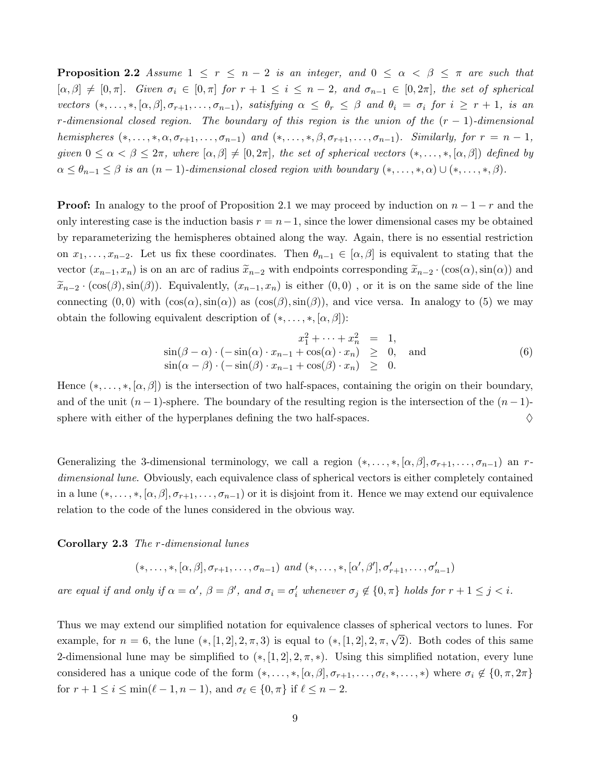**Proposition 2.2** Assume  $1 \leq r \leq n-2$  is an integer, and  $0 \leq \alpha < \beta \leq \pi$  are such that  $[\alpha, \beta] \neq [0, \pi]$ . Given  $\sigma_i \in [0, \pi]$  for  $r + 1 \leq i \leq n - 2$ , and  $\sigma_{n-1} \in [0, 2\pi]$ , the set of spherical vectors  $(*, \ldots, *, [\alpha, \beta], \sigma_{r+1}, \ldots, \sigma_{n-1}),$  satisfying  $\alpha \leq \theta_r \leq \beta$  and  $\theta_i = \sigma_i$  for  $i \geq r+1$ , is an r-dimensional closed region. The boundary of this region is the union of the  $(r - 1)$ -dimensional hemispheres  $(*, \ldots, *, \alpha, \sigma_{r+1}, \ldots, \sigma_{n-1})$  and  $(*, \ldots, *, \beta, \sigma_{r+1}, \ldots, \sigma_{n-1})$ . Similarly, for  $r = n-1$ , given  $0 \leq \alpha < \beta \leq 2\pi$ , where  $[\alpha, \beta] \neq [0, 2\pi]$ , the set of spherical vectors  $(*, \ldots, *, [\alpha, \beta])$  defined by  $\alpha \leq \theta_{n-1} \leq \beta$  is an  $(n-1)$ -dimensional closed region with boundary  $(*, \ldots, *, \alpha) \cup (*, \ldots, *, \beta)$ .

**Proof:** In analogy to the proof of Proposition 2.1 we may proceed by induction on  $n-1-r$  and the only interesting case is the induction basis  $r = n-1$ , since the lower dimensional cases my be obtained by reparameterizing the hemispheres obtained along the way. Again, there is no essential restriction on  $x_1, \ldots, x_{n-2}$ . Let us fix these coordinates. Then  $\theta_{n-1} \in [\alpha, \beta]$  is equivalent to stating that the vector  $(x_{n-1}, x_n)$  is on an arc of radius  $\widetilde{x}_{n-2}$  with endpoints corresponding  $\widetilde{x}_{n-2} \cdot (\cos(\alpha), \sin(\alpha))$  and  $\tilde{x}_{n-2} \cdot (\cos(\beta), \sin(\beta))$ . Equivalently,  $(x_{n-1}, x_n)$  is either  $(0, 0)$ , or it is on the same side of the line connecting  $(0, 0)$  with  $(cos(\alpha), sin(\alpha))$  as  $(cos(\beta), sin(\beta))$ , and vice versa. In analogy to (5) we may obtain the following equivalent description of  $(*, \ldots, *, [\alpha, \beta])$ :

$$
x_1^2 + \dots + x_n^2 = 1,
$$
  
\n
$$
\sin(\beta - \alpha) \cdot (-\sin(\alpha) \cdot x_{n-1} + \cos(\alpha) \cdot x_n) \ge 0, \text{ and}
$$
  
\n
$$
\sin(\alpha - \beta) \cdot (-\sin(\beta) \cdot x_{n-1} + \cos(\beta) \cdot x_n) \ge 0.
$$
\n(6)

Hence  $(*, \ldots, *, [\alpha, \beta])$  is the intersection of two half-spaces, containing the origin on their boundary, and of the unit  $(n-1)$ -sphere. The boundary of the resulting region is the intersection of the  $(n-1)$ sphere with either of the hyperplanes defining the two half-spaces.  $\Diamond$ 

Generalizing the 3-dimensional terminology, we call a region  $(*, \ldots, *, [\alpha, \beta], \sigma_{r+1}, \ldots, \sigma_{n-1})$  an rdimensional lune. Obviously, each equivalence class of spherical vectors is either completely contained in a lune  $(*, \ldots, *, [\alpha, \beta], \sigma_{r+1}, \ldots, \sigma_{n-1})$  or it is disjoint from it. Hence we may extend our equivalence relation to the code of the lunes considered in the obvious way.

Corollary 2.3 The r-dimensional lunes

$$
(*,\ldots,*,[\alpha,\beta],\sigma_{r+1},\ldots,\sigma_{n-1})\ \ and\ (*,\ldots,*,[\alpha',\beta'],\sigma'_{r+1},\ldots,\sigma'_{n-1})
$$

are equal if and only if  $\alpha = \alpha'$ ,  $\beta = \beta'$ , and  $\sigma_i = \sigma'_i$  whenever  $\sigma_j \notin \{0, \pi\}$  holds for  $r + 1 \leq j < i$ .

Thus we may extend our simplified notation for equivalence classes of spherical vectors to lunes. For example, for  $n = 6$ , the lune  $(*, [1, 2], 2, \pi, 3)$  is equal to  $(*, [1, 2], 2, \pi, \sqrt{2})$ . Both codes of this same 2-dimensional lune may be simplified to  $(*, [1, 2], 2, \pi, *)$ . Using this simplified notation, every lune considered has a unique code of the form  $(*, \ldots, *, [\alpha, \beta], \sigma_{r+1}, \ldots, \sigma_{\ell}, *, \ldots, *)$  where  $\sigma_i \notin \{0, \pi, 2\pi\}$ for  $r + 1 \leq i \leq \min(\ell - 1, n - 1)$ , and  $\sigma_{\ell} \in \{0, \pi\}$  if  $\ell \leq n - 2$ .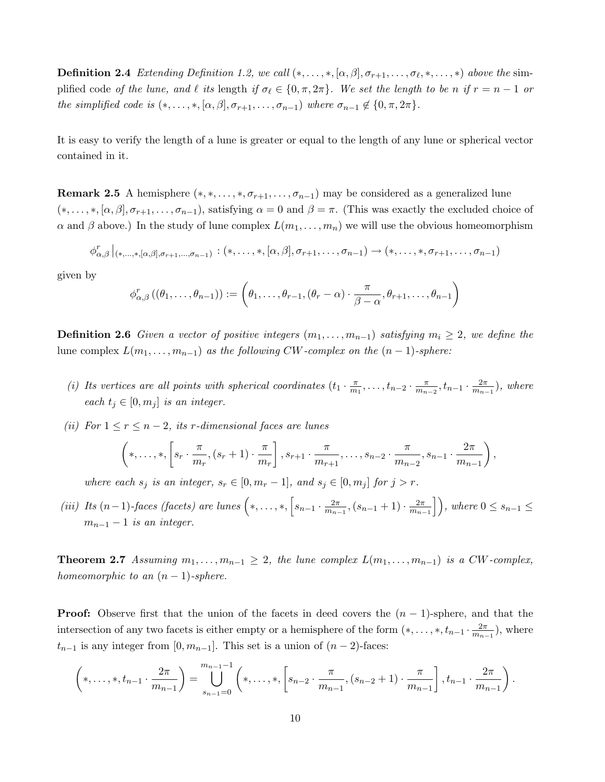**Definition 2.4** Extending Definition 1.2, we call  $(*, \ldots, *, [\alpha, \beta], \sigma_{r+1}, \ldots, \sigma_{\ell}, *, \ldots, *)$  above the simplified code of the lune, and  $\ell$  its length if  $\sigma_\ell \in \{0, \pi, 2\pi\}$ . We set the length to be n if  $r = n - 1$  or the simplified code is  $(*, \ldots, *, [\alpha, \beta], \sigma_{r+1}, \ldots, \sigma_{n-1})$  where  $\sigma_{n-1} \notin \{0, \pi, 2\pi\}.$ 

It is easy to verify the length of a lune is greater or equal to the length of any lune or spherical vector contained in it.

**Remark 2.5** A hemisphere  $(*, *, \ldots, *, \sigma_{r+1}, \ldots, \sigma_{n-1})$  may be considered as a generalized lune  $(*, \ldots, *, [\alpha, \beta], \sigma_{r+1}, \ldots, \sigma_{n-1}),$  satisfying  $\alpha = 0$  and  $\beta = \pi$ . (This was exactly the excluded choice of  $\alpha$  and  $\beta$  above.) In the study of lune complex  $L(m_1, \ldots, m_n)$  we will use the obvious homeomorphism

$$
\phi_{\alpha,\beta}^r \mid_{(*,\ldots,*,[\alpha,\beta],\sigma_{r+1},\ldots,\sigma_{n-1})} : (*,\ldots,*,[\alpha,\beta],\sigma_{r+1},\ldots,\sigma_{n-1}) \rightarrow (*,\ldots,*,\sigma_{r+1},\ldots,\sigma_{n-1})
$$

given by

$$
\phi_{\alpha,\beta}^r((\theta_1,\ldots,\theta_{n-1})) := \left(\theta_1,\ldots,\theta_{r-1},(\theta_r-\alpha)\cdot\frac{\pi}{\beta-\alpha},\theta_{r+1},\ldots,\theta_{n-1}\right)
$$

**Definition 2.6** Given a vector of positive integers  $(m_1, \ldots, m_{n-1})$  satisfying  $m_i \geq 2$ , we define the lune complex  $L(m_1, \ldots, m_{n-1})$  as the following CW-complex on the  $(n-1)$ -sphere:

- (i) Its vertices are all points with spherical coordinates  $(t_1 \cdot \frac{\pi}{m})$  $\frac{\pi}{m_1}, \ldots, t_{n-2} \cdot \frac{\pi}{m_n}$  $\frac{\pi}{m_{n-2}}, t_{n-1} \cdot \frac{2\pi}{m_{n-1}}$  $\frac{2\pi}{m_{n-1}}$ ), where each  $t_i \in [0, m_i]$  is an integer.
- (ii) For  $1 \le r \le n-2$ , its r-dimensional faces are lunes

$$
\left(*,\ldots,*,\left[s_r\cdot\frac{\pi}{m_r},(s_r+1)\cdot\frac{\pi}{m_r}\right],s_{r+1}\cdot\frac{\pi}{m_{r+1}},\ldots,s_{n-2}\cdot\frac{\pi}{m_{n-2}},s_{n-1}\cdot\frac{2\pi}{m_{n-1}}\right),\right]
$$

where each  $s_j$  is an integer,  $s_r \in [0, m_r - 1]$ , and  $s_j \in [0, m_j]$  for  $j > r$ .

(iii) Its  $(n-1)$ -faces (facets) are lunes  $\left(*,\ldots,*,\left[s_{n-1}\cdot \frac{2\pi}{m_n}\right]\right)$  $\frac{2\pi}{m_{n-1}}$ ,  $(s_{n-1}+1)\cdot\frac{2\pi}{m_{n-1}}$  $\left\lfloor \frac{2\pi}{m_{n-1}} \right\rfloor$ , where  $0 \leq s_{n-1} \leq$  $m_{n-1}-1$  is an integer.

**Theorem 2.7** Assuming  $m_1, \ldots, m_{n-1} \geq 2$ , the lune complex  $L(m_1, \ldots, m_{n-1})$  is a CW-complex, homeomorphic to an  $(n-1)$ -sphere.

**Proof:** Observe first that the union of the facets in deed covers the  $(n - 1)$ -sphere, and that the intersection of any two facets is either empty or a hemisphere of the form  $(*, \ldots, *, t_{n-1} \cdot \frac{2\pi}{m_n})$  $\frac{2\pi}{m_{n-1}}$ ), where  $t_{n-1}$  is any integer from [0,  $m_{n-1}$ ]. This set is a union of  $(n-2)$ -faces:

$$
\left(*,\ldots,*,t_{n-1}\cdot\frac{2\pi}{m_{n-1}}\right)=\bigcup_{s_{n-1}=0}^{m_{n-1}-1}\left(*,\ldots,*,\left[s_{n-2}\cdot\frac{\pi}{m_{n-1}},(s_{n-2}+1)\cdot\frac{\pi}{m_{n-1}}\right],t_{n-1}\cdot\frac{2\pi}{m_{n-1}}\right).
$$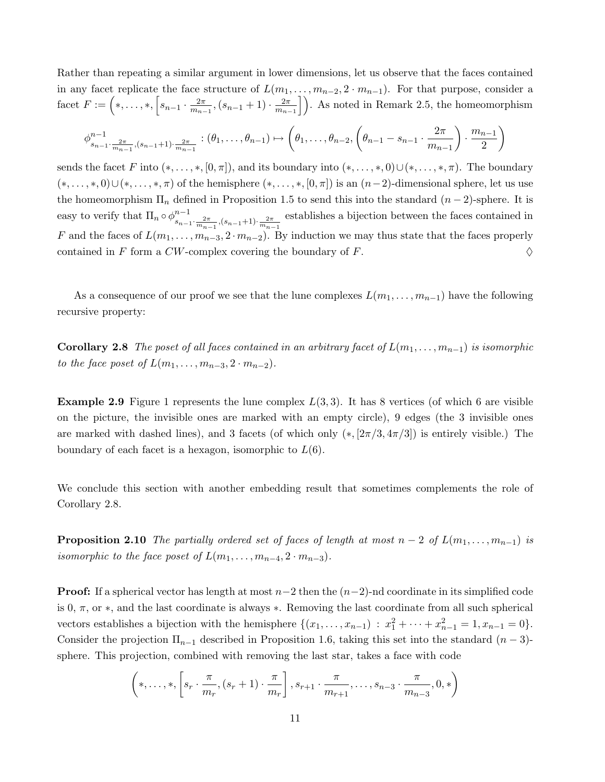Rather than repeating a similar argument in lower dimensions, let us observe that the faces contained in any facet replicate the face structure of  $L(m_1, \ldots, m_{n-2}, 2 \cdot m_{n-1})$ . For that purpose, consider a facet  $F := (*, \ldots, *, [s_{n-1} \cdot \frac{2\pi}{m_n}])$  $\frac{2\pi}{m_{n-1}}$ ,  $(s_{n-1}+1)\cdot \frac{2\pi}{m_{n-1}}$  $\left\lfloor \frac{2\pi}{m_{n-1}} \right\rfloor$ . As noted in Remark 2.5, the homeomorphism

$$
\phi_{s_{n-1} \cdot \frac{2\pi}{m_{n-1}}, (s_{n-1}+1) \cdot \frac{2\pi}{m_{n-1}}}^{n-1} : (\theta_1, \dots, \theta_{n-1}) \mapsto (\theta_1, \dots, \theta_{n-2}, \left(\theta_{n-1} - s_{n-1} \cdot \frac{2\pi}{m_{n-1}} \right) \cdot \frac{m_{n-1}}{2})
$$

sends the facet F into  $(*, \ldots, *, [0, \pi])$ , and its boundary into  $(*, \ldots, *, 0) \cup (*, \ldots, *, \pi)$ . The boundary  $(*, \ldots, *, 0) \cup (*, \ldots, *, \pi)$  of the hemisphere  $(*, \ldots, *, [0, \pi])$  is an  $(n-2)$ -dimensional sphere, let us use the homeomorphism  $\Pi_n$  defined in Proposition 1.5 to send this into the standard  $(n-2)$ -sphere. It is easy to verify that  $\Pi_n \circ \phi^{n-1}_s$  $s_{n-1} \cdot \frac{2\pi}{m_{n-1}}$ ,  $(s_{n-1}+1) \cdot \frac{2\pi}{m_{n-1}}$ establishes a bijection between the faces contained in F and the faces of  $L(m_1, \ldots, m_{n-3}, 2 \cdot m_{n-2})$ . By induction we may thus state that the faces properly contained in F form a CW-complex covering the boundary of F.  $\Diamond$ 

As a consequence of our proof we see that the lune complexes  $L(m_1, \ldots, m_{n-1})$  have the following recursive property:

**Corollary 2.8** The poset of all faces contained in an arbitrary facet of  $L(m_1, \ldots, m_{n-1})$  is isomorphic to the face poset of  $L(m_1, \ldots, m_{n-3}, 2 \cdot m_{n-2}).$ 

**Example 2.9** Figure 1 represents the lune complex  $L(3,3)$ . It has 8 vertices (of which 6 are visible on the picture, the invisible ones are marked with an empty circle), 9 edges (the 3 invisible ones are marked with dashed lines), and 3 facets (of which only  $(*,[2\pi/3,4\pi/3])$  is entirely visible.) The boundary of each facet is a hexagon, isomorphic to  $L(6)$ .

We conclude this section with another embedding result that sometimes complements the role of Corollary 2.8.

**Proposition 2.10** The partially ordered set of faces of length at most  $n-2$  of  $L(m_1, \ldots, m_{n-1})$  is isomorphic to the face poset of  $L(m_1, \ldots, m_{n-4}, 2 \cdot m_{n-3})$ .

**Proof:** If a spherical vector has length at most  $n-2$  then the  $(n-2)$ -nd coordinate in its simplified code is 0,  $\pi$ , or  $*$ , and the last coordinate is always  $*$ . Removing the last coordinate from all such spherical vectors establishes a bijection with the hemisphere  $\{(x_1, \ldots, x_{n-1}) : x_1^2 + \cdots + x_{n-1}^2 = 1, x_{n-1} = 0\}.$ Consider the projection  $\Pi_{n-1}$  described in Proposition 1.6, taking this set into the standard  $(n-3)$ sphere. This projection, combined with removing the last star, takes a face with code

$$
\left(*,\ldots,*,\left[s_r \cdot \frac{\pi}{m_r},(s_r+1) \cdot \frac{\pi}{m_r}\right],s_{r+1} \cdot \frac{\pi}{m_{r+1}},\ldots,s_{n-3} \cdot \frac{\pi}{m_{n-3}},0,*\right)
$$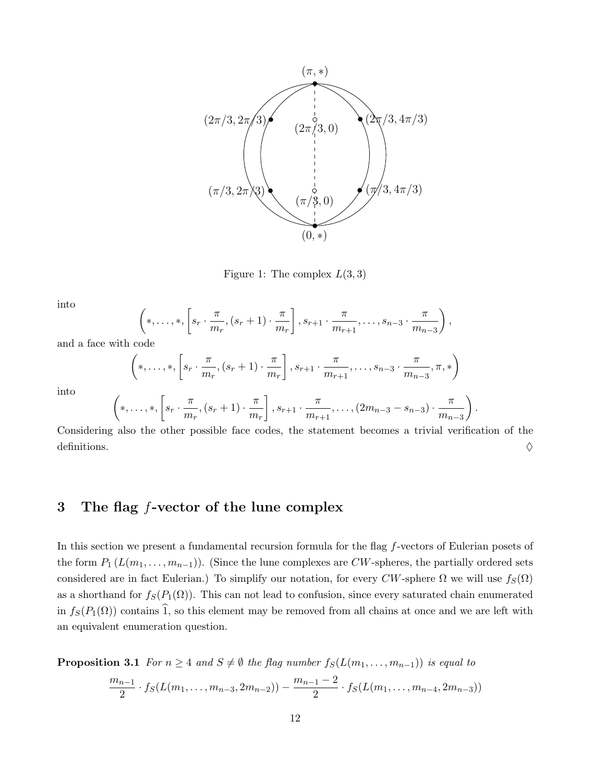

Figure 1: The complex  $L(3,3)$ 

into

$$
\left(*,\ldots,*,\left[s_r\cdot\frac{\pi}{m_r},(s_r+1)\cdot\frac{\pi}{m_r}\right],s_{r+1}\cdot\frac{\pi}{m_{r+1}},\ldots,s_{n-3}\cdot\frac{\pi}{m_{n-3}}\right),\right.
$$

and a face with code

$$
\left(*,\ldots,*,\left[s_r \cdot \frac{\pi}{m_r},(s_r+1) \cdot \frac{\pi}{m_r}\right],s_{r+1} \cdot \frac{\pi}{m_{r+1}},\ldots,s_{n-3} \cdot \frac{\pi}{m_{n-3}},\pi,*\right)
$$

into

$$
\left(*,\ldots,*,\left[s_r \cdot \frac{\pi}{m_r},(s_r+1) \cdot \frac{\pi}{m_r}\right],s_{r+1} \cdot \frac{\pi}{m_{r+1}},\ldots,(2m_{n-3}-s_{n-3}) \cdot \frac{\pi}{m_{n-3}}\right).
$$

Considering also the other possible face codes, the statement becomes a trivial verification of the definitions.  $\Diamond$ 

## 3 The flag f-vector of the lune complex

In this section we present a fundamental recursion formula for the flag f-vectors of Eulerian posets of the form  $P_1(L(m_1,\ldots,m_{n-1}))$ . (Since the lune complexes are CW-spheres, the partially ordered sets considered are in fact Eulerian.) To simplify our notation, for every CW-sphere  $\Omega$  we will use  $f_S(\Omega)$ as a shorthand for  $f_S(P_1(\Omega))$ . This can not lead to confusion, since every saturated chain enumerated in  $f_S(P_1(\Omega))$  contains  $\hat{1}$ , so this element may be removed from all chains at once and we are left with an equivalent enumeration question.

**Proposition 3.1** For  $n \geq 4$  and  $S \neq \emptyset$  the flag number  $f_S(L(m_1, \ldots, m_{n-1}))$  is equal to

$$
\frac{m_{n-1}}{2} \cdot f_S(L(m_1, \ldots, m_{n-3}, 2m_{n-2})) - \frac{m_{n-1}-2}{2} \cdot f_S(L(m_1, \ldots, m_{n-4}, 2m_{n-3}))
$$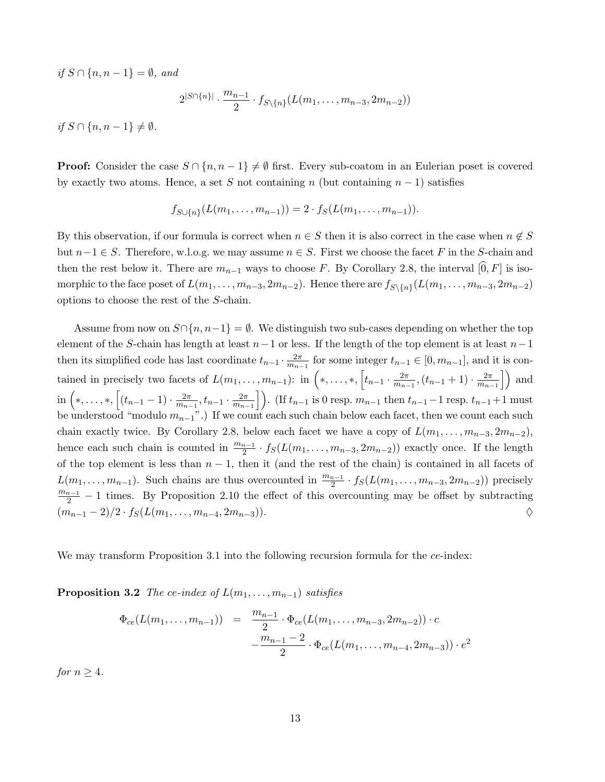if  $S \cap \{n, n-1\} = \emptyset$ , and

$$
2^{|S \cap \{n\}|} \cdot \frac{m_{n-1}}{2} \cdot f_{S \setminus \{n\}}(L(m_1, \ldots, m_{n-3}, 2m_{n-2}))
$$

*if*  $S \cap \{n, n-1\}$  ≠  $\emptyset$ .

**Proof:** Consider the case  $S \cap \{n, n-1\} \neq \emptyset$  first. Every sub-coatom in an Eulerian poset is covered by exactly two atoms. Hence, a set S not containing n (but containing  $n-1$ ) satisfies

$$
f_{S\cup\{n\}}(L(m_1,\ldots,m_{n-1}))=2\cdot f_S(L(m_1,\ldots,m_{n-1})).
$$

By this observation, if our formula is correct when  $n \in S$  then it is also correct in the case when  $n \notin S$ but  $n-1 \in S$ . Therefore, w.l.o.g. we may assume  $n \in S$ . First we choose the facet F in the S-chain and then the rest below it. There are  $m_{n-1}$  ways to choose F. By Corollary 2.8, the interval [0, F] is isomorphic to the face poset of  $L(m_1, \ldots, m_{n-3}, 2m_{n-2})$ . Hence there are  $f_{S\setminus\{n\}}(L(m_1, \ldots, m_{n-3}, 2m_{n-2})$ options to choose the rest of the S-chain.

Assume from now on  $S\cap\{n,n-1\}=\emptyset$ . We distinguish two sub-cases depending on whether the top element of the S-chain has length at least  $n-1$  or less. If the length of the top element is at least  $n-1$ then its simplified code has last coordinate  $t_{n-1} \cdot \frac{2\pi}{m_n}$  $\frac{2\pi}{m_{n-1}}$  for some integer  $t_{n-1} \in [0, m_{n-1}]$ , and it is contained in precisely two facets of  $L(m_1, \ldots, m_{n-1})$ : in  $\left(*, \ldots, *, \left[t_{n-1} \cdot \frac{2\pi}{m_n}\right]\right)$  $\frac{2\pi}{m_{n-1}}$ ,  $(t_{n-1}+1)\cdot\frac{2\pi}{m_{n-1}}$  $\left\lfloor \frac{2\pi}{m_{n-1}} \right\rfloor$  and in  $\left(*,\ldots, *\right), \left[(t_{n-1}-1)\cdot \frac{2\pi}{m_n}\right]$  $\frac{2\pi}{m_{n-1}}, t_{n-1} \cdot \frac{2\pi}{m_{n-1}}$  $\left\{\frac{2\pi}{m_{n-1}}\right\}$ ). (If  $t_{n-1}$  is 0 resp.  $m_{n-1}$  then  $t_{n-1}-1$  resp.  $t_{n-1}+1$  must be understood "modulo  $m_{n-1}$ ".) If we count each such chain below each facet, then we count each such chain exactly twice. By Corollary 2.8, below each facet we have a copy of  $L(m_1, \ldots, m_{n-3}, 2m_{n-2})$ , hence each such chain is counted in  $\frac{m_{n-1}}{2} \cdot f_S(L(m_1, \ldots, m_{n-3}, 2m_{n-2}))$  exactly once. If the length of the top element is less than  $n-1$ , then it (and the rest of the chain) is contained in all facets of  $L(m_1, \ldots, m_{n-1})$ . Such chains are thus overcounted in  $\frac{m_{n-1}}{2} \cdot f_S(L(m_1, \ldots, m_{n-3}, 2m_{n-2}))$  precisely  $\frac{m_{n-1}}{2}$  – 1 times. By Proposition 2.10 the effect of this overcounting may be offset by subtracting  $(m_{n-1}-2)/2 \cdot f_S(L(m_1,\ldots,m_{n-4},2m_{n-3})).$ 

We may transform Proposition 3.1 into the following recursion formula for the ce-index:

**Proposition 3.2** The ce-index of  $L(m_1, \ldots, m_{n-1})$  satisfies

$$
\Phi_{ce}(L(m_1, ..., m_{n-1})) = \frac{m_{n-1}}{2} \cdot \Phi_{ce}(L(m_1, ..., m_{n-3}, 2m_{n-2})) \cdot c
$$

$$
-\frac{m_{n-1} - 2}{2} \cdot \Phi_{ce}(L(m_1, ..., m_{n-4}, 2m_{n-3})) \cdot e^2
$$

for  $n > 4$ .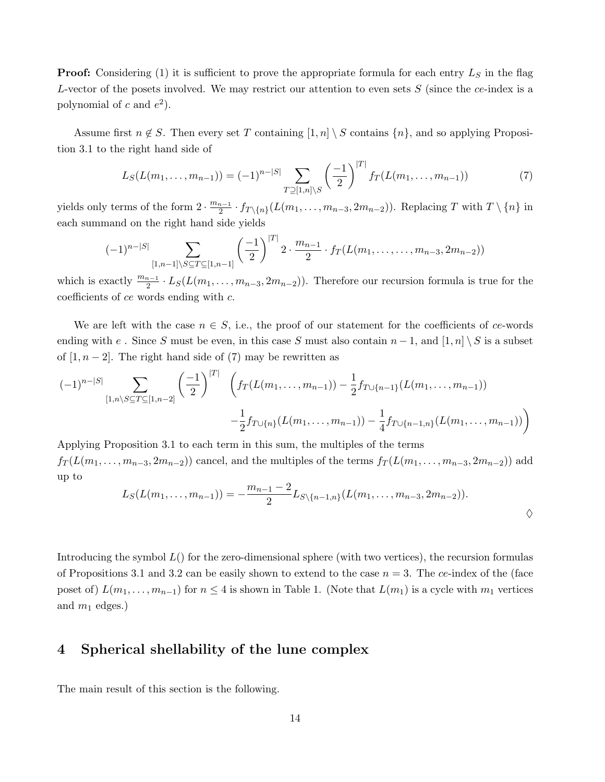**Proof:** Considering (1) it is sufficient to prove the appropriate formula for each entry  $L<sub>S</sub>$  in the flag L-vector of the posets involved. We may restrict our attention to even sets  $S$  (since the ce-index is a polynomial of c and  $e^2$ ).

Assume first  $n \notin S$ . Then every set T containing  $[1, n] \setminus S$  contains  $\{n\}$ , and so applying Proposition 3.1 to the right hand side of

$$
L_S(L(m_1, \ldots, m_{n-1})) = (-1)^{n-|S|} \sum_{T \supseteq [1,n] \setminus S} \left(\frac{-1}{2}\right)^{|T|} f_T(L(m_1, \ldots, m_{n-1})) \tag{7}
$$

yields only terms of the form  $2 \cdot \frac{m_{n-1}}{2}$  $\frac{n-1}{2} \cdot f_{T\setminus\{n\}}(L(m_1,\ldots,m_{n-3},2m_{n-2}))$ . Replacing T with  $T\setminus\{n\}$  in each summand on the right hand side yields

$$
(-1)^{n-|S|} \sum_{[1,n-1]\setminus S \subseteq T \subseteq [1,n-1]} \left(\frac{-1}{2}\right)^{|T|} 2 \cdot \frac{m_{n-1}}{2} \cdot f_T(L(m_1,\ldots,m_{n-3},2m_{n-2}))
$$

which is exactly  $\frac{m_{n-1}}{2} \cdot L_S(L(m_1, \ldots, m_{n-3}, 2m_{n-2}))$ . Therefore our recursion formula is true for the coefficients of ce words ending with c.

We are left with the case  $n \in S$ , i.e., the proof of our statement for the coefficients of ce-words ending with e. Since S must be even, in this case S must also contain  $n-1$ , and  $[1,n] \setminus S$  is a subset of  $[1, n-2]$ . The right hand side of (7) may be rewritten as

$$
(-1)^{n-|S|} \sum_{[1,n\setminus S \subseteq T \subseteq [1,n-2]} \left(\frac{-1}{2}\right)^{|T|} \left( f_T(L(m_1,\ldots,m_{n-1})) - \frac{1}{2} f_{T\cup\{n-1\}}(L(m_1,\ldots,m_{n-1})) - \frac{1}{2} f_{T\cup\{n\}}(L(m_1,\ldots,m_{n-1})) \right) - \frac{1}{4} f_{T\cup\{n-1,n\}}(L(m_1,\ldots,m_{n-1}))
$$

Applying Proposition 3.1 to each term in this sum, the multiples of the terms  $f_T(L(m_1, \ldots, m_{n-3}, 2m_{n-2}))$  cancel, and the multiples of the terms  $f_T(L(m_1, \ldots, m_{n-3}, 2m_{n-2}))$  add up to

$$
L_S(L(m_1,\ldots,m_{n-1}))=-\frac{m_{n-1}-2}{2}L_{S\setminus\{n-1,n\}}(L(m_1,\ldots,m_{n-3},2m_{n-2})).
$$

Introducing the symbol  $L($ ) for the zero-dimensional sphere (with two vertices), the recursion formulas of Propositions 3.1 and 3.2 can be easily shown to extend to the case  $n = 3$ . The ce-index of the (face poset of)  $L(m_1, \ldots, m_{n-1})$  for  $n \leq 4$  is shown in Table 1. (Note that  $L(m_1)$  is a cycle with  $m_1$  vertices and  $m_1$  edges.)

## 4 Spherical shellability of the lune complex

The main result of this section is the following.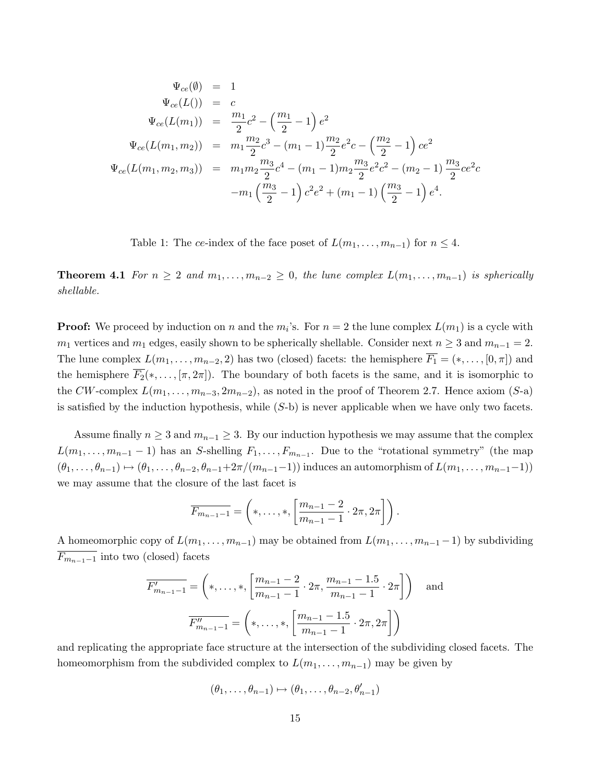$$
\Psi_{ce}(\emptyset) = 1
$$
  
\n
$$
\Psi_{ce}(L()) = c
$$
  
\n
$$
\Psi_{ce}(L(m_1)) = \frac{m_1}{2}c^2 - \left(\frac{m_1}{2} - 1\right)e^2
$$
  
\n
$$
\Psi_{ce}(L(m_1, m_2)) = m_1 \frac{m_2}{2}c^3 - (m_1 - 1)\frac{m_2}{2}e^2c - \left(\frac{m_2}{2} - 1\right)ce^2
$$
  
\n
$$
\Psi_{ce}(L(m_1, m_2, m_3)) = m_1 m_2 \frac{m_3}{2}c^4 - (m_1 - 1)m_2 \frac{m_3}{2}e^2c^2 - (m_2 - 1)\frac{m_3}{2}ce^2c
$$
  
\n
$$
-m_1 \left(\frac{m_3}{2} - 1\right)c^2e^2 + (m_1 - 1)\left(\frac{m_3}{2} - 1\right)e^4.
$$

Table 1: The ce-index of the face poset of  $L(m_1, \ldots, m_{n-1})$  for  $n \leq 4$ .

**Theorem 4.1** For  $n \geq 2$  and  $m_1, \ldots, m_{n-2} \geq 0$ , the lune complex  $L(m_1, \ldots, m_{n-1})$  is spherically shellable.

**Proof:** We proceed by induction on n and the  $m_i$ 's. For  $n = 2$  the lune complex  $L(m_1)$  is a cycle with  $m_1$  vertices and  $m_1$  edges, easily shown to be spherically shellable. Consider next  $n \geq 3$  and  $m_{n-1} = 2$ . The lune complex  $L(m_1, \ldots, m_{n-2}, 2)$  has two (closed) facets: the hemisphere  $\overline{F_1} = (*, \ldots, [0, \pi])$  and the hemisphere  $\overline{F_2}(*,\ldots,[\pi,2\pi])$ . The boundary of both facets is the same, and it is isomorphic to the CW-complex  $L(m_1, \ldots, m_{n-3}, 2m_{n-2})$ , as noted in the proof of Theorem 2.7. Hence axiom (S-a) is satisfied by the induction hypothesis, while  $(S-b)$  is never applicable when we have only two facets.

Assume finally  $n \geq 3$  and  $m_{n-1} \geq 3$ . By our induction hypothesis we may assume that the complex  $L(m_1, \ldots, m_{n-1} - 1)$  has an S-shelling  $F_1, \ldots, F_{m_{n-1}}$ . Due to the "rotational symmetry" (the map  $(\theta_1, \ldots, \theta_{n-1}) \mapsto (\theta_1, \ldots, \theta_{n-2}, \theta_{n-1}+2\pi/(m_{n-1}-1))$  induces an automorphism of  $L(m_1, \ldots, m_{n-1}-1)$ ) we may assume that the closure of the last facet is

$$
\overline{F_{m_{n-1}-1}} = \left(*,\ldots,*, \left[\frac{m_{n-1}-2}{m_{n-1}-1}\cdot 2\pi, 2\pi\right]\right).
$$

A homeomorphic copy of  $L(m_1, \ldots, m_{n-1})$  may be obtained from  $L(m_1, \ldots, m_{n-1} - 1)$  by subdividing  $\overline{F_{m_{n-1}-1}}$  into two (closed) facets

$$
\overline{F'_{m_{n-1}-1}} = \left(*,\ldots, *\, \left\lceil \frac{m_{n-1}-2}{m_{n-1}-1} \cdot 2\pi, \frac{m_{n-1}-1.5}{m_{n-1}-1} \cdot 2\pi \right\rceil \right) \quad \text{and}
$$
\n
$$
\overline{F''_{m_{n-1}-1}} = \left(*,\ldots, *\, \left\lceil \frac{m_{n-1}-1.5}{m_{n-1}-1} \cdot 2\pi, 2\pi \right\rceil \right)
$$

and replicating the appropriate face structure at the intersection of the subdividing closed facets. The homeomorphism from the subdivided complex to  $L(m_1, \ldots, m_{n-1})$  may be given by

$$
(\theta_1,\ldots,\theta_{n-1})\mapsto (\theta_1,\ldots,\theta_{n-2},\theta'_{n-1})
$$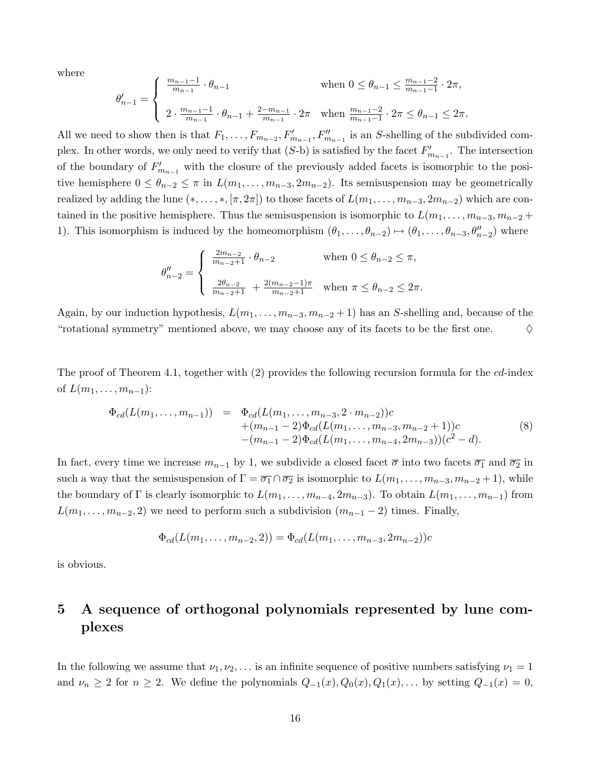where

$$
\theta'_{n-1} = \begin{cases} \frac{m_{n-1}-1}{m_{n-1}} \cdot \theta_{n-1} & \text{when } 0 \le \theta_{n-1} \le \frac{m_{n-1}-2}{m_{n-1}-1} \cdot 2\pi, \\ 2 \cdot \frac{m_{n-1}-1}{m_{n-1}} \cdot \theta_{n-1} + \frac{2-m_{n-1}}{m_{n-1}} \cdot 2\pi & \text{when } \frac{m_{n-1}-2}{m_{n-1}-1} \cdot 2\pi \le \theta_{n-1} \le 2\pi. \end{cases}
$$

All we need to show then is that  $F_1, \ldots, F_{m_{n-2}}, F'_{m_{n-1}}, F''_{m_{n-1}}$  is an S-shelling of the subdivided complex. In other words, we only need to verify that  $(S<sub>-</sub>b)$  is satisfied by the facet  $F'_{m_{n-1}}$ . The intersection of the boundary of  $F'_{m_{n-1}}$  with the closure of the previously added facets is isomorphic to the positive hemisphere  $0 \leq \theta_{n-2} \leq \pi$  in  $L(m_1, \ldots, m_{n-3}, 2m_{n-2})$ . Its semisuspension may be geometrically realized by adding the lune  $(*, \ldots, *, [\pi, 2\pi])$  to those facets of  $L(m_1, \ldots, m_{n-3}, 2m_{n-2})$  which are contained in the positive hemisphere. Thus the semisuspension is isomorphic to  $L(m_1, \ldots, m_{n-3}, m_{n-2} +$ 1). This isomorphism is induced by the homeomorphism  $(\theta_1, \ldots, \theta_{n-2}) \mapsto (\theta_1, \ldots, \theta_{n-3}, \theta''_{n-2})$  where

$$
\theta''_{n-2} = \begin{cases} \frac{2m_{n-2}}{m_{n-2}+1} \cdot \theta_{n-2} & \text{when } 0 \le \theta_{n-2} \le \pi, \\ \frac{2\theta_{n-2}}{m_{n-2}+1} + \frac{2(m_{n-2}-1)\pi}{m_{n-2}+1} & \text{when } \pi \le \theta_{n-2} \le 2\pi. \end{cases}
$$

Again, by our induction hypothesis,  $L(m_1, \ldots, m_{n-3}, m_{n-2} + 1)$  has an S-shelling and, because of the "rotational symmetry" mentioned above, we may choose any of its facets to be the first one.  $\Diamond$ 

The proof of Theorem 4.1, together with (2) provides the following recursion formula for the cd-index of  $L(m_1, \ldots, m_{n-1})$ :

$$
\Phi_{cd}(L(m_1, \ldots, m_{n-1})) = \Phi_{cd}(L(m_1, \ldots, m_{n-3}, 2 \cdot m_{n-2}))c \n+ (m_{n-1} - 2)\Phi_{cd}(L(m_1, \ldots, m_{n-3}, m_{n-2} + 1))c \n- (m_{n-1} - 2)\Phi_{cd}(L(m_1, \ldots, m_{n-4}, 2m_{n-3})) (c^2 - d).
$$
\n(8)

In fact, every time we increase  $m_{n-1}$  by 1, we subdivide a closed facet  $\overline{\sigma}$  into two facets  $\overline{\sigma_1}$  and  $\overline{\sigma_2}$  in such a way that the semisuspension of  $\Gamma = \overline{\sigma_1} \cap \overline{\sigma_2}$  is isomorphic to  $L(m_1, \ldots, m_{n-3}, m_{n-2} + 1)$ , while the boundary of  $\Gamma$  is clearly isomorphic to  $L(m_1, \ldots, m_{n-4}, 2m_{n-3})$ . To obtain  $L(m_1, \ldots, m_{n-1})$  from  $L(m_1, \ldots, m_{n-2}, 2)$  we need to perform such a subdivision  $(m_{n-1} - 2)$  times. Finally,

$$
\Phi_{cd}(L(m_1,\ldots,m_{n-2},2)) = \Phi_{cd}(L(m_1,\ldots,m_{n-3},2m_{n-2}))c
$$

is obvious.

# 5 A sequence of orthogonal polynomials represented by lune complexes

In the following we assume that  $\nu_1, \nu_2, \ldots$  is an infinite sequence of positive numbers satisfying  $\nu_1 = 1$ and  $\nu_n \geq 2$  for  $n \geq 2$ . We define the polynomials  $Q_{-1}(x), Q_0(x), Q_1(x), \ldots$  by setting  $Q_{-1}(x) = 0$ ,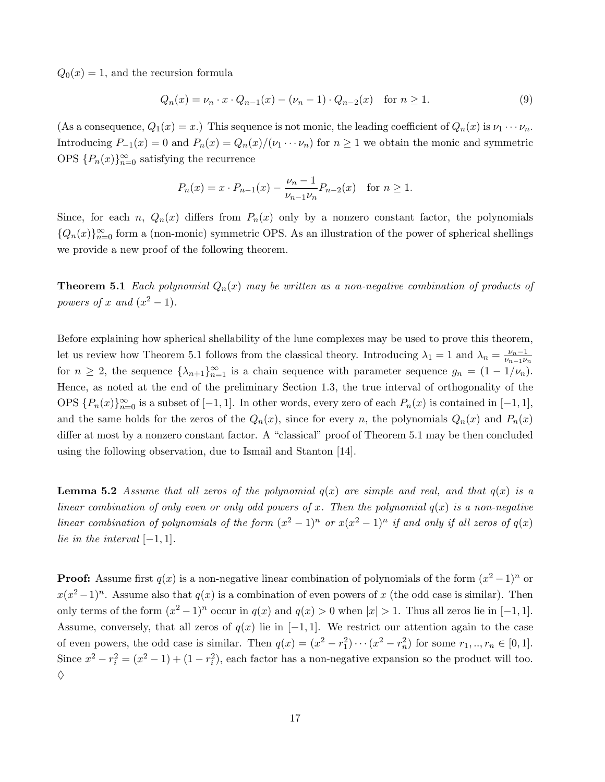$Q_0(x) = 1$ , and the recursion formula

$$
Q_n(x) = \nu_n \cdot x \cdot Q_{n-1}(x) - (\nu_n - 1) \cdot Q_{n-2}(x) \quad \text{for } n \ge 1.
$$
 (9)

(As a consequence,  $Q_1(x) = x$ .) This sequence is not monic, the leading coefficient of  $Q_n(x)$  is  $\nu_1 \cdots \nu_n$ . Introducing  $P_{-1}(x) = 0$  and  $P_n(x) = Q_n(x)/(v_1 \cdots v_n)$  for  $n \ge 1$  we obtain the monic and symmetric OPS  ${P_n(x)}_{n=0}^\infty$  satisfying the recurrence

$$
P_n(x) = x \cdot P_{n-1}(x) - \frac{\nu_n - 1}{\nu_{n-1}\nu_n} P_{n-2}(x) \text{ for } n \ge 1.
$$

Since, for each n,  $Q_n(x)$  differs from  $P_n(x)$  only by a nonzero constant factor, the polynomials  ${Q_n(x)}_{n=0}^{\infty}$  form a (non-monic) symmetric OPS. As an illustration of the power of spherical shellings we provide a new proof of the following theorem.

**Theorem 5.1** Each polynomial  $Q_n(x)$  may be written as a non-negative combination of products of powers of x and  $(x^2-1)$ .

Before explaining how spherical shellability of the lune complexes may be used to prove this theorem, let us review how Theorem 5.1 follows from the classical theory. Introducing  $\lambda_1 = 1$  and  $\lambda_n = \frac{\nu_n - 1}{\nu_{n-1}\nu_n}$  $\nu_{n-1}\nu_n$ for  $n \geq 2$ , the sequence  $\{\lambda_{n+1}\}_{n=1}^{\infty}$  is a chain sequence with parameter sequence  $g_n = (1 - 1/\nu_n)$ . Hence, as noted at the end of the preliminary Section 1.3, the true interval of orthogonality of the OPS  $\{P_n(x)\}_{n=0}^{\infty}$  is a subset of  $[-1, 1]$ . In other words, every zero of each  $P_n(x)$  is contained in  $[-1, 1]$ , and the same holds for the zeros of the  $Q_n(x)$ , since for every n, the polynomials  $Q_n(x)$  and  $P_n(x)$ differ at most by a nonzero constant factor. A "classical" proof of Theorem 5.1 may be then concluded using the following observation, due to Ismail and Stanton [14].

**Lemma 5.2** Assume that all zeros of the polynomial  $q(x)$  are simple and real, and that  $q(x)$  is a linear combination of only even or only odd powers of x. Then the polynomial  $q(x)$  is a non-negative linear combination of polynomials of the form  $(x^2 - 1)^n$  or  $x(x^2 - 1)^n$  if and only if all zeros of  $q(x)$ lie in the interval  $[-1, 1]$ .

**Proof:** Assume first  $q(x)$  is a non-negative linear combination of polynomials of the form  $(x^2-1)^n$  or  $x(x^2-1)^n$ . Assume also that  $q(x)$  is a combination of even powers of x (the odd case is similar). Then only terms of the form  $(x^2 - 1)^n$  occur in  $q(x)$  and  $q(x) > 0$  when  $|x| > 1$ . Thus all zeros lie in [-1, 1]. Assume, conversely, that all zeros of  $q(x)$  lie in [−1, 1]. We restrict our attention again to the case of even powers, the odd case is similar. Then  $q(x) = (x^2 - r_1^2) \cdots (x^2 - r_n^2)$  for some  $r_1, ..., r_n \in [0, 1]$ . Since  $x^2 - r_i^2 = (x^2 - 1) + (1 - r_i^2)$ , each factor has a non-negative expansion so the product will too.  $\Diamond$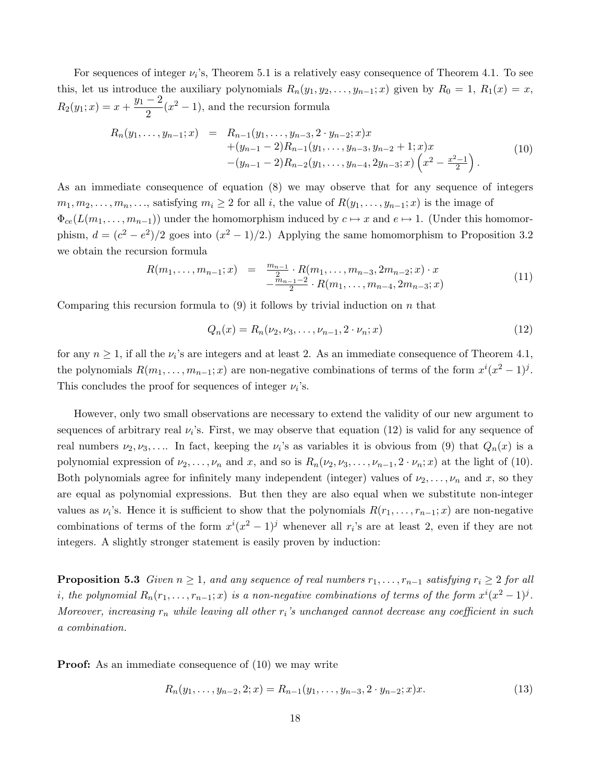For sequences of integer  $\nu_i$ 's, Theorem 5.1 is a relatively easy consequence of Theorem 4.1. To see this, let us introduce the auxiliary polynomials  $R_n(y_1, y_2, \ldots, y_{n-1}; x)$  given by  $R_0 = 1$ ,  $R_1(x) = x$ ,  $R_2(y_1; x) = x + \frac{y_1 - 2}{2}$  $\frac{-2}{2}(x^2-1)$ , and the recursion formula

$$
R_n(y_1, \ldots, y_{n-1}; x) = R_{n-1}(y_1, \ldots, y_{n-3}, 2 \cdot y_{n-2}; x)x + (y_{n-1} - 2)R_{n-1}(y_1, \ldots, y_{n-3}, y_{n-2} + 1; x)x - (y_{n-1} - 2)R_{n-2}(y_1, \ldots, y_{n-4}, 2y_{n-3}; x) \left(x^2 - \frac{x^2 - 1}{2}\right).
$$
\n(10)

As an immediate consequence of equation (8) we may observe that for any sequence of integers  $m_1, m_2, \ldots, m_n, \ldots$ , satisfying  $m_i \geq 2$  for all i, the value of  $R(y_1, \ldots, y_{n-1}; x)$  is the image of  $\Phi_{ce}(L(m_1,\ldots,m_{n-1}))$  under the homomorphism induced by  $c \mapsto x$  and  $e \mapsto 1$ . (Under this homomorphism,  $d = (c^2 - e^2)/2$  goes into  $(x^2 - 1)/2$ .) Applying the same homomorphism to Proposition 3.2 we obtain the recursion formula

$$
R(m_1, \ldots, m_{n-1}; x) = \frac{m_{n-1}}{2} \cdot R(m_1, \ldots, m_{n-3}, 2m_{n-2}; x) \cdot x - \frac{m_{n-1}-2}{2} \cdot R(m_1, \ldots, m_{n-4}, 2m_{n-3}; x)
$$
\n(11)

Comparing this recursion formula to  $(9)$  it follows by trivial induction on n that

$$
Q_n(x) = R_n(\nu_2, \nu_3, \dots, \nu_{n-1}, 2 \cdot \nu_n; x) \tag{12}
$$

for any  $n \geq 1$ , if all the  $\nu_i$ 's are integers and at least 2. As an immediate consequence of Theorem 4.1, the polynomials  $R(m_1, \ldots, m_{n-1}; x)$  are non-negative combinations of terms of the form  $x^i(x^2 - 1)^j$ . This concludes the proof for sequences of integer  $\nu_i$ 's.

However, only two small observations are necessary to extend the validity of our new argument to sequences of arbitrary real  $\nu_i$ 's. First, we may observe that equation (12) is valid for any sequence of real numbers  $\nu_2, \nu_3, \ldots$  In fact, keeping the  $\nu_i$ 's as variables it is obvious from (9) that  $Q_n(x)$  is a polynomial expression of  $\nu_2, \ldots, \nu_n$  and x, and so is  $R_n(\nu_2, \nu_3, \ldots, \nu_{n-1}, 2 \cdot \nu_n; x)$  at the light of (10). Both polynomials agree for infinitely many independent (integer) values of  $\nu_2, \ldots, \nu_n$  and x, so they are equal as polynomial expressions. But then they are also equal when we substitute non-integer values as  $\nu_i$ 's. Hence it is sufficient to show that the polynomials  $R(r_1, \ldots, r_{n-1}; x)$  are non-negative combinations of terms of the form  $x^{i}(x^{2} - 1)^{j}$  whenever all  $r_{i}$ 's are at least 2, even if they are not integers. A slightly stronger statement is easily proven by induction:

**Proposition 5.3** Given  $n \geq 1$ , and any sequence of real numbers  $r_1, \ldots, r_{n-1}$  satisfying  $r_i \geq 2$  for all i, the polynomial  $R_n(r_1,\ldots,r_{n-1};x)$  is a non-negative combinations of terms of the form  $x^i(x^2-1)^j$ . Moreover, increasing  $r_n$  while leaving all other  $r_i$ 's unchanged cannot decrease any coefficient in such a combination.

**Proof:** As an immediate consequence of (10) we may write

$$
R_n(y_1, \ldots, y_{n-2}, 2; x) = R_{n-1}(y_1, \ldots, y_{n-3}, 2 \cdot y_{n-2}; x)x. \tag{13}
$$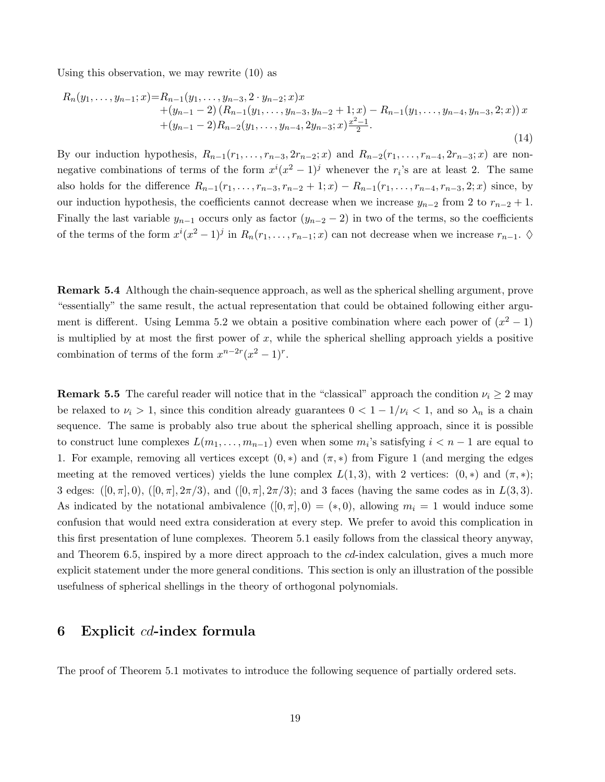Using this observation, we may rewrite (10) as

$$
R_n(y_1, \ldots, y_{n-1}; x) = R_{n-1}(y_1, \ldots, y_{n-3}, 2 \cdot y_{n-2}; x)x + (y_{n-1} - 2) (R_{n-1}(y_1, \ldots, y_{n-3}, y_{n-2} + 1; x) - R_{n-1}(y_1, \ldots, y_{n-4}, y_{n-3}, 2; x)) x + (y_{n-1} - 2) R_{n-2}(y_1, \ldots, y_{n-4}, 2y_{n-3}; x) \frac{x^2 - 1}{2}.
$$
\n(14)

By our induction hypothesis,  $R_{n-1}(r_1,\ldots,r_{n-3},2r_{n-2};x)$  and  $R_{n-2}(r_1,\ldots,r_{n-4},2r_{n-3};x)$  are nonnegative combinations of terms of the form  $x^{i}(x^{2} - 1)^{j}$  whenever the  $r_{i}$ 's are at least 2. The same also holds for the difference  $R_{n-1}(r_1,\ldots,r_{n-3},r_{n-2}+1;x) - R_{n-1}(r_1,\ldots,r_{n-4},r_{n-3},2;x)$  since, by our induction hypothesis, the coefficients cannot decrease when we increase  $y_{n-2}$  from 2 to  $r_{n-2} + 1$ . Finally the last variable  $y_{n-1}$  occurs only as factor  $(y_{n-2} - 2)$  in two of the terms, so the coefficients of the terms of the form  $x^{i}(x^{2}-1)^{j}$  in  $R_{n}(r_{1},...,r_{n-1};x)$  can not decrease when we increase  $r_{n-1}$ .  $\diamond$ 

Remark 5.4 Although the chain-sequence approach, as well as the spherical shelling argument, prove "essentially" the same result, the actual representation that could be obtained following either argument is different. Using Lemma 5.2 we obtain a positive combination where each power of  $(x^2 - 1)$ is multiplied by at most the first power of  $x$ , while the spherical shelling approach yields a positive combination of terms of the form  $x^{n-2r}(x^2-1)^r$ .

**Remark 5.5** The careful reader will notice that in the "classical" approach the condition  $\nu_i \geq 2$  may be relaxed to  $\nu_i > 1$ , since this condition already guarantees  $0 < 1 - 1/\nu_i < 1$ , and so  $\lambda_n$  is a chain sequence. The same is probably also true about the spherical shelling approach, since it is possible to construct lune complexes  $L(m_1, \ldots, m_{n-1})$  even when some  $m_i$ 's satisfying  $i < n-1$  are equal to 1. For example, removing all vertices except  $(0,*)$  and  $(\pi,*)$  from Figure 1 (and merging the edges meeting at the removed vertices) yields the lune complex  $L(1,3)$ , with 2 vertices:  $(0,*)$  and  $(\pi,*);$ 3 edges:  $([0, \pi], 0)$ ,  $([0, \pi], 2\pi/3)$ , and  $([0, \pi], 2\pi/3)$ ; and 3 faces (having the same codes as in  $L(3, 3)$ . As indicated by the notational ambivalence  $([0, \pi], 0) = (*, 0)$ , allowing  $m_i = 1$  would induce some confusion that would need extra consideration at every step. We prefer to avoid this complication in this first presentation of lune complexes. Theorem 5.1 easily follows from the classical theory anyway, and Theorem 6.5, inspired by a more direct approach to the cd-index calculation, gives a much more explicit statement under the more general conditions. This section is only an illustration of the possible usefulness of spherical shellings in the theory of orthogonal polynomials.

## 6 Explicit cd-index formula

The proof of Theorem 5.1 motivates to introduce the following sequence of partially ordered sets.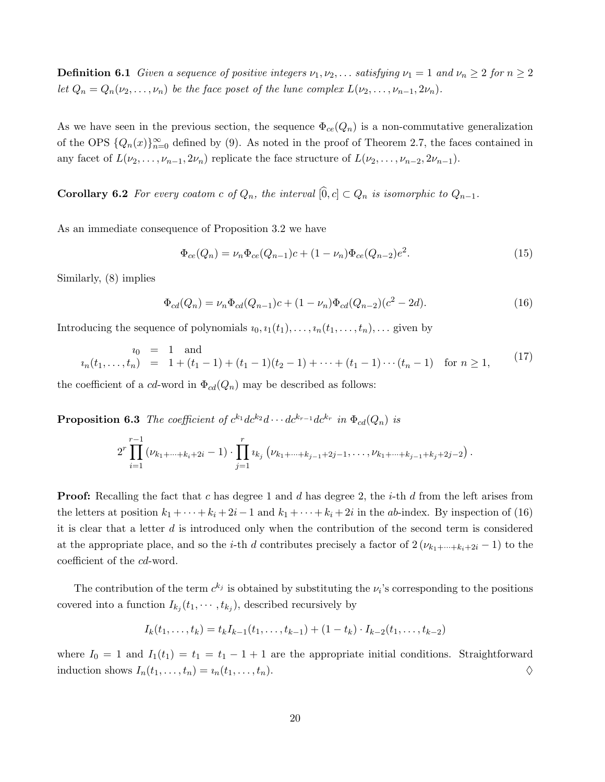**Definition 6.1** Given a sequence of positive integers  $\nu_1, \nu_2, \ldots$  satisfying  $\nu_1 = 1$  and  $\nu_n \geq 2$  for  $n \geq 2$ let  $Q_n = Q_n(\nu_2, \ldots, \nu_n)$  be the face poset of the lune complex  $L(\nu_2, \ldots, \nu_{n-1}, 2\nu_n)$ .

As we have seen in the previous section, the sequence  $\Phi_{ce}(Q_n)$  is a non-commutative generalization of the OPS  $\{Q_n(x)\}_{n=0}^{\infty}$  defined by (9). As noted in the proof of Theorem 2.7, the faces contained in any facet of  $L(\nu_2, \ldots, \nu_{n-1}, 2\nu_n)$  replicate the face structure of  $L(\nu_2, \ldots, \nu_{n-2}, 2\nu_{n-1})$ .

**Corollary 6.2** For every coatom c of  $Q_n$ , the interval  $[0, c] \subset Q_n$  is isomorphic to  $Q_{n-1}$ .

As an immediate consequence of Proposition 3.2 we have

$$
\Phi_{ce}(Q_n) = \nu_n \Phi_{ce}(Q_{n-1})c + (1 - \nu_n)\Phi_{ce}(Q_{n-2})e^2.
$$
\n(15)

Similarly, (8) implies

$$
\Phi_{cd}(Q_n) = \nu_n \Phi_{cd}(Q_{n-1})c + (1 - \nu_n)\Phi_{cd}(Q_{n-2})(c^2 - 2d). \tag{16}
$$

Introducing the sequence of polynomials  $i_0, i_1(t_1), \ldots, i_n(t_1, \ldots, t_n), \ldots$  given by

$$
t_0 = 1 \text{ and}
$$
  
\n
$$
t_n(t_1, \ldots, t_n) = 1 + (t_1 - 1) + (t_1 - 1)(t_2 - 1) + \cdots + (t_1 - 1) \cdots (t_n - 1) \text{ for } n \ge 1,
$$
\n
$$
(17)
$$

the coefficient of a cd-word in  $\Phi_{cd}(Q_n)$  may be described as follows:

**Proposition 6.3** The coefficient of  $c^{k_1}dc^{k_2}d\cdots dc^{k_{r-1}}dc^{k_r}$  in  $\Phi_{cd}(Q_n)$  is

$$
2^r \prod_{i=1}^{r-1} (\nu_{k_1+\cdots+k_i+2i}-1) \cdot \prod_{j=1}^r \nu_{k_j} (\nu_{k_1+\cdots+k_{j-1}+2j-1},\ldots,\nu_{k_1+\cdots+k_{j-1}+k_j+2j-2}).
$$

**Proof:** Recalling the fact that c has degree 1 and d has degree 2, the *i*-th d from the left arises from the letters at position  $k_1 + \cdots + k_i + 2i-1$  and  $k_1 + \cdots + k_i + 2i$  in the ab-index. By inspection of (16) it is clear that a letter  $d$  is introduced only when the contribution of the second term is considered at the appropriate place, and so the *i*-th d contributes precisely a factor of  $2(\nu_{k_1+\cdots+k_i+2i}-1)$  to the coefficient of the cd-word.

The contribution of the term  $c^{k_j}$  is obtained by substituting the  $\nu_i$ 's corresponding to the positions covered into a function  $I_{k_j}(t_1, \dots, t_{k_j})$ , described recursively by

$$
I_k(t_1,\ldots,t_k) = t_k I_{k-1}(t_1,\ldots,t_{k-1}) + (1-t_k) \cdot I_{k-2}(t_1,\ldots,t_{k-2})
$$

where  $I_0 = 1$  and  $I_1(t_1) = t_1 - t_1 - 1 + 1$  are the appropriate initial conditions. Straightforward induction shows  $I_n(t_1, \ldots, t_n) = i_n(t_1, \ldots, t_n).$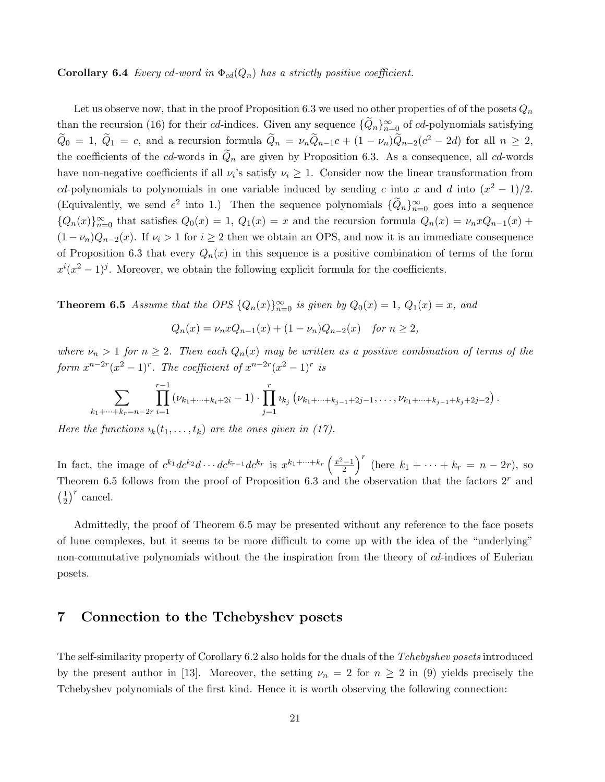#### **Corollary 6.4** Every cd-word in  $\Phi_{cd}(Q_n)$  has a strictly positive coefficient.

Let us observe now, that in the proof Proposition 6.3 we used no other properties of of the posets  $Q_n$ than the recursion (16) for their cd-indices. Given any sequence  $\{\widetilde{Q}_n\}_{n=0}^{\infty}$  of cd-polynomials satisfying  $\widetilde{Q}_0 = 1$ ,  $\widetilde{Q}_1 = c$ , and a recursion formula  $\widetilde{Q}_n = \nu_n \widetilde{Q}_{n-1}c + (1 - \nu_n)\widetilde{Q}_{n-2}(c^2 - 2d)$  for all  $n \geq 2$ , the coefficients of the cd-words in  $Q_n$  are given by Proposition 6.3. As a consequence, all cd-words have non-negative coefficients if all  $\nu_i$ 's satisfy  $\nu_i \geq 1$ . Consider now the linear transformation from cd-polynomials to polynomials in one variable induced by sending c into x and d into  $(x^2 - 1)/2$ . (Equivalently, we send  $e^2$  into 1.) Then the sequence polynomials  $\{\widetilde{Q}_n\}_{n=0}^{\infty}$  goes into a sequence  ${Q_n(x)}_{n=0}^{\infty}$  that satisfies  $Q_0(x) = 1$ ,  $Q_1(x) = x$  and the recursion formula  $Q_n(x) = \nu_n x Q_{n-1}(x) +$  $(1 - \nu_n)Q_{n-2}(x)$ . If  $\nu_i > 1$  for  $i \geq 2$  then we obtain an OPS, and now it is an immediate consequence of Proposition 6.3 that every  $Q_n(x)$  in this sequence is a positive combination of terms of the form  $x^{i}(x^{2}-1)^{j}$ . Moreover, we obtain the following explicit formula for the coefficients.

**Theorem 6.5** Assume that the OPS  $\{Q_n(x)\}_{n=0}^{\infty}$  is given by  $Q_0(x) = 1$ ,  $Q_1(x) = x$ , and

$$
Q_n(x) = \nu_n x Q_{n-1}(x) + (1 - \nu_n) Q_{n-2}(x) \quad \text{for } n \ge 2,
$$

where  $\nu_n > 1$  for  $n \geq 2$ . Then each  $Q_n(x)$  may be written as a positive combination of terms of the form  $x^{n-2r}(x^2-1)^r$ . The coefficient of  $x^{n-2r}(x^2-1)^r$  is

$$
\sum_{k_1+\cdots+k_r=n-2r} \prod_{i=1}^{r-1} (\nu_{k_1+\cdots+k_i+2i}-1) \cdot \prod_{j=1}^r \nu_{k_j} \left( \nu_{k_1+\cdots+k_{j-1}+2j-1}, \ldots, \nu_{k_1+\cdots+k_{j-1}+k_j+2j-2} \right).
$$

Here the functions  $i_k(t_1, \ldots, t_k)$  are the ones given in (17).

In fact, the image of  $c^{k_1}dc^{k_2}d\cdots dc^{k_{r-1}}dc^{k_r}$  is  $x^{k_1+\cdots+k_r}\left(\frac{x^2-1}{2}\right)$  $\left(\frac{k-1}{2}\right)^r$  (here  $k_1 + \cdots + k_r = n - 2r$ ), so Theorem 6.5 follows from the proof of Proposition 6.3 and the observation that the factors  $2<sup>r</sup>$  and  $\left(\frac{1}{2}\right)$  $(\frac{1}{2})^r$  cancel.

Admittedly, the proof of Theorem 6.5 may be presented without any reference to the face posets of lune complexes, but it seems to be more difficult to come up with the idea of the "underlying" non-commutative polynomials without the the inspiration from the theory of cd-indices of Eulerian posets.

## 7 Connection to the Tchebyshev posets

The self-similarity property of Corollary 6.2 also holds for the duals of the Tchebyshev posets introduced by the present author in [13]. Moreover, the setting  $\nu_n = 2$  for  $n \geq 2$  in (9) yields precisely the Tchebyshev polynomials of the first kind. Hence it is worth observing the following connection: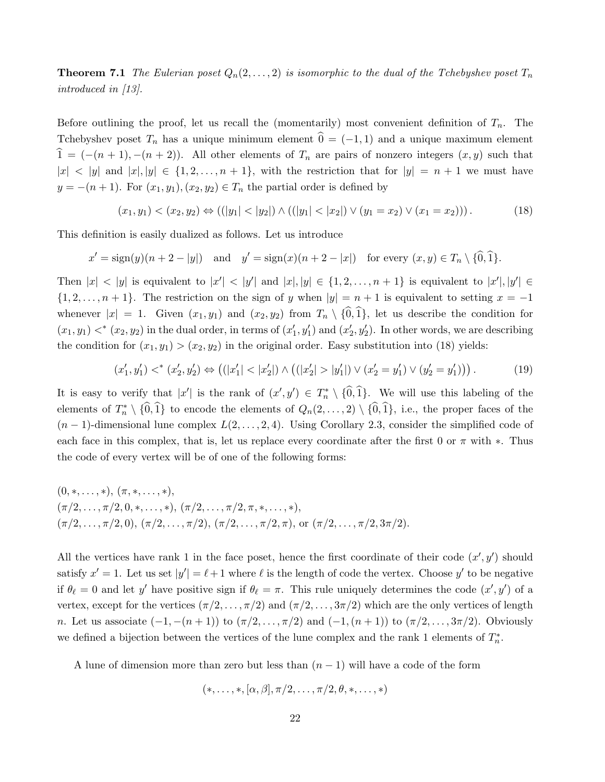**Theorem 7.1** The Eulerian poset  $Q_n(2,\ldots,2)$  is isomorphic to the dual of the Tchebyshev poset  $T_n$ introduced in [13].

Before outlining the proof, let us recall the (momentarily) most convenient definition of  $T_n$ . The Tchebyshev poset  $T_n$  has a unique minimum element  $\hat{0} = (-1, 1)$  and a unique maximum element  $\hat{1} = (-(n+1), -(n+2))$ . All other elements of  $T_n$  are pairs of nonzero integers  $(x, y)$  such that  $|x| < |y|$  and  $|x|, |y| \in \{1, 2, \ldots, n+1\}$ , with the restriction that for  $|y| = n+1$  we must have  $y = -(n+1)$ . For  $(x_1, y_1), (x_2, y_2) \in T_n$  the partial order is defined by

$$
(x_1, y_1) < (x_2, y_2) \Leftrightarrow ((|y_1| < |y_2|) \land ((|y_1| < |x_2|) \lor (y_1 = x_2) \lor (x_1 = x_2))). \tag{18}
$$

This definition is easily dualized as follows. Let us introduce

$$
x' = \text{sign}(y)(n+2-|y|) \quad \text{and} \quad y' = \text{sign}(x)(n+2-|x|) \quad \text{for every } (x, y) \in T_n \setminus \{\widehat{0}, \widehat{1}\}.
$$

Then  $|x| < |y|$  is equivalent to  $|x'| < |y'|$  and  $|x|, |y| \in \{1, 2, ..., n+1\}$  is equivalent to  $|x'|, |y'| \in$  $\{1, 2, \ldots, n+1\}$ . The restriction on the sign of y when  $|y| = n+1$  is equivalent to setting  $x = -1$ whenever  $|x| = 1$ . Given  $(x_1, y_1)$  and  $(x_2, y_2)$  from  $T_n \setminus {\hat{0}, \hat{1}}$ , let us describe the condition for  $(x_1, y_1) <^*(x_2, y_2)$  in the dual order, in terms of  $(x'_1, y'_1)$  and  $(x'_2, y'_2)$ . In other words, we are describing the condition for  $(x_1, y_1) > (x_2, y_2)$  in the original order. Easy substitution into (18) yields:

$$
(x'_1, y'_1) <^* (x'_2, y'_2) \Leftrightarrow ((|x'_1| < |x'_2|) \wedge ((|x'_2| > |y'_1|) \vee (x'_2 = y'_1) \vee (y'_2 = y'_1))) \,. \tag{19}
$$

It is easy to verify that  $|x'|$  is the rank of  $(x', y') \in T_n^* \setminus \{0, 1\}$ . We will use this labeling of the elements of  $T_n^* \setminus \{\hat{0},\hat{1}\}\)$  to encode the elements of  $Q_n(2,\ldots,2) \setminus \{\hat{0},\hat{1}\}\)$ , i.e., the proper faces of the  $(n-1)$ -dimensional lune complex  $L(2,\ldots,2,4)$ . Using Corollary 2.3, consider the simplified code of each face in this complex, that is, let us replace every coordinate after the first 0 or  $\pi$  with  $*$ . Thus the code of every vertex will be of one of the following forms:

 $(0, \ast, \ldots, \ast), (\pi, \ast, \ldots, \ast),$  $(\pi/2, \ldots, \pi/2, 0, \ast, \ldots, \ast), (\pi/2, \ldots, \pi/2, \pi, \ast, \ldots, \ast),$  $(\pi/2,\ldots,\pi/2,0), (\pi/2,\ldots,\pi/2), (\pi/2,\ldots,\pi/2,\pi),$  or  $(\pi/2,\ldots,\pi/2,3\pi/2).$ 

All the vertices have rank 1 in the face poset, hence the first coordinate of their code  $(x', y')$  should satisfy  $x' = 1$ . Let us set  $|y'| = \ell + 1$  where  $\ell$  is the length of code the vertex. Choose  $y'$  to be negative if  $\theta_\ell = 0$  and let y' have positive sign if  $\theta_\ell = \pi$ . This rule uniquely determines the code  $(x', y')$  of a vertex, except for the vertices  $(\pi/2, \ldots, \pi/2)$  and  $(\pi/2, \ldots, 3\pi/2)$  which are the only vertices of length n. Let us associate  $(-1, -(n+1))$  to  $(\pi/2, ..., \pi/2)$  and  $(-1, (n+1))$  to  $(\pi/2, ..., 3\pi/2)$ . Obviously we defined a bijection between the vertices of the lune complex and the rank 1 elements of  $T_n^*$ .

A lune of dimension more than zero but less than  $(n - 1)$  will have a code of the form

$$
(*,\ldots,*,[\alpha,\beta],\pi/2,\ldots,\pi/2,\theta,*,\ldots,*)
$$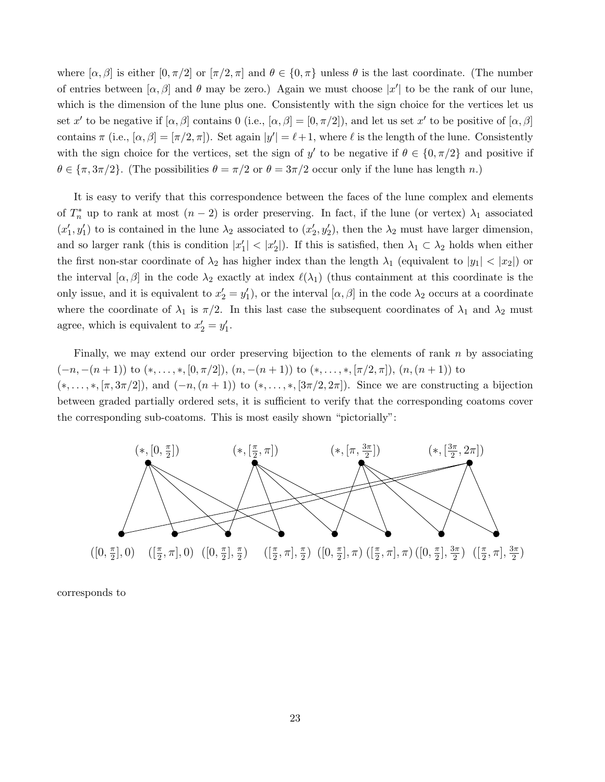where  $[\alpha, \beta]$  is either  $[0, \pi/2]$  or  $[\pi/2, \pi]$  and  $\theta \in \{0, \pi\}$  unless  $\theta$  is the last coordinate. (The number of entries between  $[\alpha, \beta]$  and  $\theta$  may be zero.) Again we must choose  $|x'|$  to be the rank of our lune, which is the dimension of the lune plus one. Consistently with the sign choice for the vertices let us set x' to be negative if  $[\alpha, \beta]$  contains 0 (i.e.,  $[\alpha, \beta] = [0, \pi/2]$ ), and let us set x' to be positive of  $[\alpha, \beta]$ contains  $\pi$  (i.e.,  $[\alpha, \beta] = [\pi/2, \pi]$ ). Set again  $|y'| = \ell + 1$ , where  $\ell$  is the length of the lune. Consistently with the sign choice for the vertices, set the sign of y' to be negative if  $\theta \in \{0, \pi/2\}$  and positive if  $\theta \in {\pi, 3\pi/2}$ . (The possibilities  $\theta = \pi/2$  or  $\theta = 3\pi/2$  occur only if the lune has length n.)

It is easy to verify that this correspondence between the faces of the lune complex and elements of  $T_n^*$  up to rank at most  $(n-2)$  is order preserving. In fact, if the lune (or vertex)  $\lambda_1$  associated  $(x'_1, y'_1)$  to is contained in the lune  $\lambda_2$  associated to  $(x'_2, y'_2)$ , then the  $\lambda_2$  must have larger dimension, and so larger rank (this is condition  $|x'_1| < |x'_2|$ ). If this is satisfied, then  $\lambda_1 \subset \lambda_2$  holds when either the first non-star coordinate of  $\lambda_2$  has higher index than the length  $\lambda_1$  (equivalent to  $|y_1| < |x_2|$ ) or the interval  $[\alpha, \beta]$  in the code  $\lambda_2$  exactly at index  $\ell(\lambda_1)$  (thus containment at this coordinate is the only issue, and it is equivalent to  $x_2' = y_1'$ , or the interval  $[\alpha, \beta]$  in the code  $\lambda_2$  occurs at a coordinate where the coordinate of  $\lambda_1$  is  $\pi/2$ . In this last case the subsequent coordinates of  $\lambda_1$  and  $\lambda_2$  must agree, which is equivalent to  $x'_2 = y'_1$ .

Finally, we may extend our order preserving bijection to the elements of rank  $n$  by associating  $(-n, -(n+1))$  to  $(*, \ldots, *, [0, \pi/2]), (n, -(n+1))$  to  $(*, \ldots, *, [\pi/2, \pi]), (n, (n+1))$  to  $(*, \ldots, *, [\pi, 3\pi/2]),$  and  $(-n, (n+1))$  to  $(*, \ldots, *, [3\pi/2, 2\pi]).$  Since we are constructing a bijection between graded partially ordered sets, it is sufficient to verify that the corresponding coatoms cover the corresponding sub-coatoms. This is most easily shown "pictorially":



corresponds to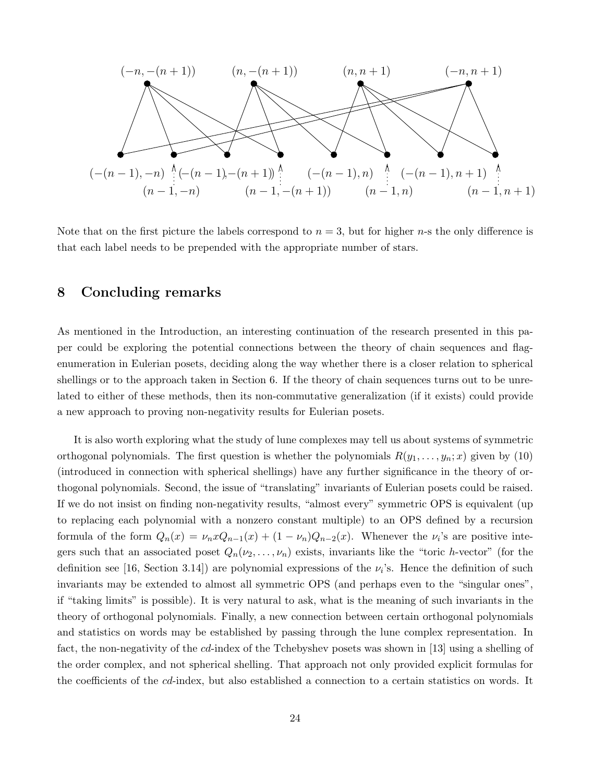

Note that on the first picture the labels correspond to  $n = 3$ , but for higher n-s the only difference is that each label needs to be prepended with the appropriate number of stars.

## 8 Concluding remarks

As mentioned in the Introduction, an interesting continuation of the research presented in this paper could be exploring the potential connections between the theory of chain sequences and flagenumeration in Eulerian posets, deciding along the way whether there is a closer relation to spherical shellings or to the approach taken in Section 6. If the theory of chain sequences turns out to be unrelated to either of these methods, then its non-commutative generalization (if it exists) could provide a new approach to proving non-negativity results for Eulerian posets.

It is also worth exploring what the study of lune complexes may tell us about systems of symmetric orthogonal polynomials. The first question is whether the polynomials  $R(y_1, \ldots, y_n; x)$  given by (10) (introduced in connection with spherical shellings) have any further significance in the theory of orthogonal polynomials. Second, the issue of "translating" invariants of Eulerian posets could be raised. If we do not insist on finding non-negativity results, "almost every" symmetric OPS is equivalent (up to replacing each polynomial with a nonzero constant multiple) to an OPS defined by a recursion formula of the form  $Q_n(x) = \nu_n x Q_{n-1}(x) + (1 - \nu_n) Q_{n-2}(x)$ . Whenever the  $\nu_i$ 's are positive integers such that an associated poset  $Q_n(\nu_2, \ldots, \nu_n)$  exists, invariants like the "toric h-vector" (for the definition see [16, Section 3.14]) are polynomial expressions of the  $\nu_i$ 's. Hence the definition of such invariants may be extended to almost all symmetric OPS (and perhaps even to the "singular ones", if "taking limits" is possible). It is very natural to ask, what is the meaning of such invariants in the theory of orthogonal polynomials. Finally, a new connection between certain orthogonal polynomials and statistics on words may be established by passing through the lune complex representation. In fact, the non-negativity of the cd-index of the Tchebyshev posets was shown in [13] using a shelling of the order complex, and not spherical shelling. That approach not only provided explicit formulas for the coefficients of the cd-index, but also established a connection to a certain statistics on words. It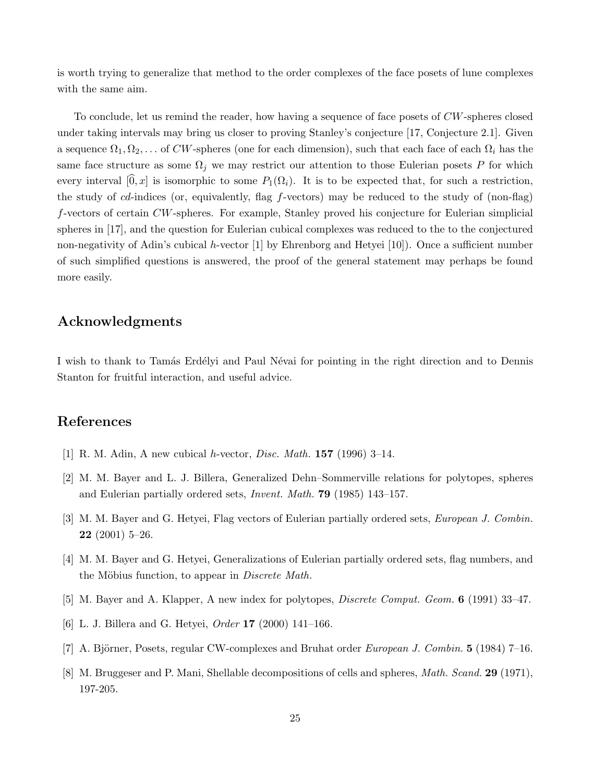is worth trying to generalize that method to the order complexes of the face posets of lune complexes with the same aim.

To conclude, let us remind the reader, how having a sequence of face posets of CW-spheres closed under taking intervals may bring us closer to proving Stanley's conjecture [17, Conjecture 2.1]. Given a sequence  $\Omega_1, \Omega_2, \ldots$  of CW-spheres (one for each dimension), such that each face of each  $\Omega_i$  has the same face structure as some  $\Omega_j$  we may restrict our attention to those Eulerian posets P for which every interval  $[0, x]$  is isomorphic to some  $P_1(\Omega_i)$ . It is to be expected that, for such a restriction, the study of cd-indices (or, equivalently, flag f-vectors) may be reduced to the study of (non-flag) f-vectors of certain CW-spheres. For example, Stanley proved his conjecture for Eulerian simplicial spheres in [17], and the question for Eulerian cubical complexes was reduced to the to the conjectured non-negativity of Adin's cubical h-vector [1] by Ehrenborg and Hetyei [10]). Once a sufficient number of such simplified questions is answered, the proof of the general statement may perhaps be found more easily.

## Acknowledgments

I wish to thank to Tamás Erdélyi and Paul Névai for pointing in the right direction and to Dennis Stanton for fruitful interaction, and useful advice.

## References

- [1] R. M. Adin, A new cubical *h*-vector, *Disc. Math.* **157** (1996) 3–14.
- [2] M. M. Bayer and L. J. Billera, Generalized Dehn–Sommerville relations for polytopes, spheres and Eulerian partially ordered sets, Invent. Math. 79 (1985) 143–157.
- [3] M. M. Bayer and G. Hetyei, Flag vectors of Eulerian partially ordered sets, European J. Combin. 22 (2001) 5–26.
- [4] M. M. Bayer and G. Hetyei, Generalizations of Eulerian partially ordered sets, flag numbers, and the Möbius function, to appear in *Discrete Math.*
- [5] M. Bayer and A. Klapper, A new index for polytopes, *Discrete Comput. Geom.* **6** (1991) 33–47.
- [6] L. J. Billera and G. Hetyei, Order 17 (2000) 141–166.
- [7] A. Björner, Posets, regular CW-complexes and Bruhat order *European J. Combin.* 5 (1984) 7–16.
- [8] M. Bruggeser and P. Mani, Shellable decompositions of cells and spheres, *Math. Scand.* 29 (1971), 197-205.